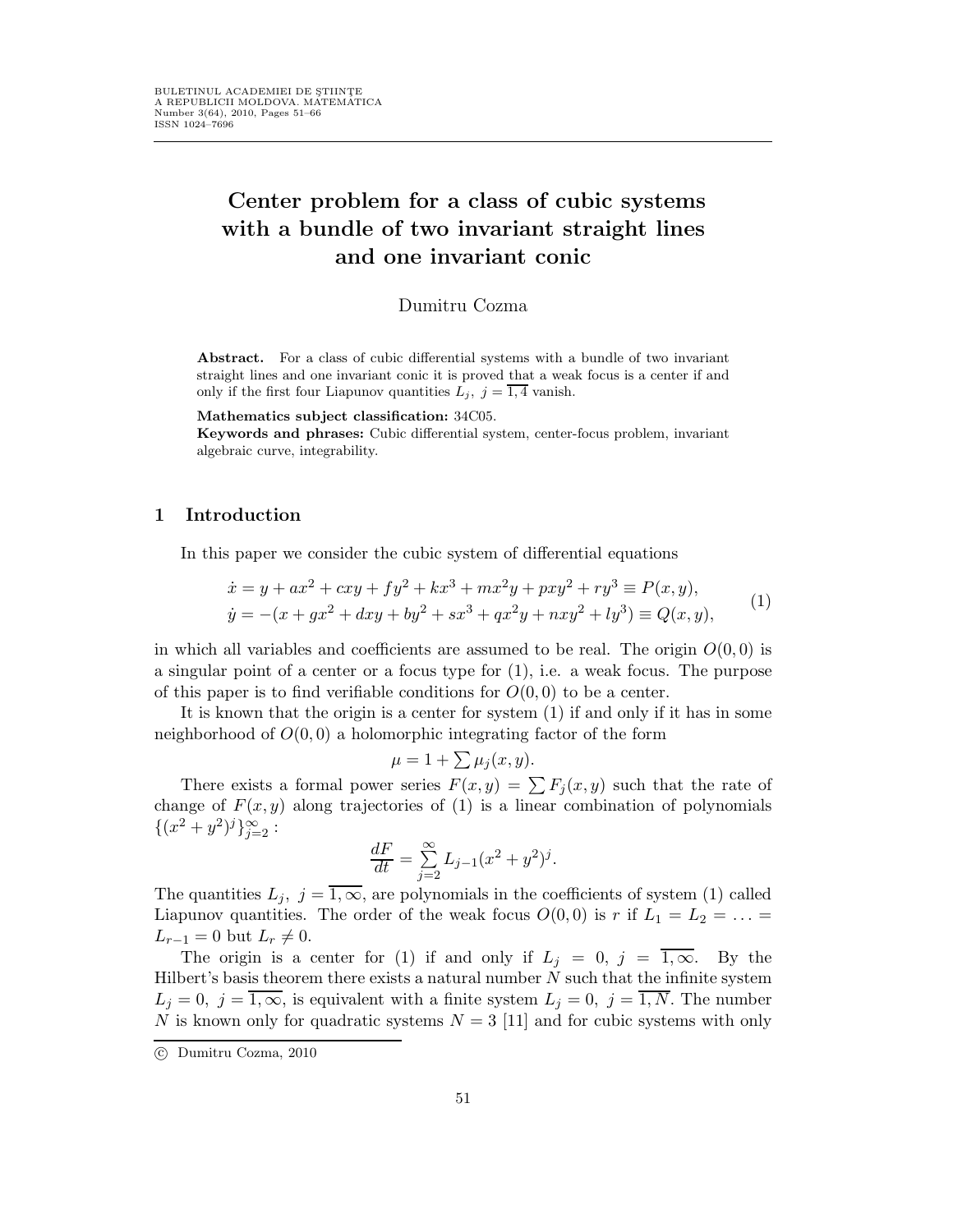# Center problem for a class of cubic systems with a bundle of two invariant straight lines and one invariant conic

Dumitru Cozma

Abstract. For a class of cubic differential systems with a bundle of two invariant straight lines and one invariant conic it is proved that a weak focus is a center if and only if the first four Liapunov quantities  $L_j$ ,  $j = \overline{1,4}$  vanish.

Mathematics subject classification: 34C05.

Keywords and phrases: Cubic differential system, center-focus problem, invariant algebraic curve, integrability.

#### 1 Introduction

In this paper we consider the cubic system of differential equations

$$
\begin{aligned}\n\dot{x} &= y + ax^2 + cxy + fy^2 + kx^3 + mx^2y + pxy^2 + ry^3 \equiv P(x, y), \\
\dot{y} &= -(x + gx^2 + dxy + by^2 + sx^3 + qx^2y + nxy^2 + ly^3) \equiv Q(x, y),\n\end{aligned} \tag{1}
$$

in which all variables and coefficients are assumed to be real. The origin  $O(0,0)$  is a singular point of a center or a focus type for (1), i.e. a weak focus. The purpose of this paper is to find verifiable conditions for  $O(0,0)$  to be a center.

It is known that the origin is a center for system (1) if and only if it has in some neighborhood of  $O(0,0)$  a holomorphic integrating factor of the form

$$
\mu = 1 + \sum \mu_j(x, y).
$$

There exists a formal power series  $F(x, y) = \sum F_j(x, y)$  such that the rate of change of  $F(x, y)$  along trajectories of (1) is a linear combination of polynomials  $\{(x^2+y^2)^j\}_{j=2}^{\infty}$ :

$$
\frac{dF}{dt} = \sum_{j=2}^{\infty} L_{j-1} (x^2 + y^2)^j.
$$

The quantities  $L_j$ ,  $j = \overline{1,\infty}$ , are polynomials in the coefficients of system (1) called Liapunov quantities. The order of the weak focus  $O(0,0)$  is r if  $L_1 = L_2 = ... =$  $L_{r-1} = 0$  but  $L_r \neq 0$ .

The origin is a center for (1) if and only if  $L_j = 0$ ,  $j = \overline{1,\infty}$ . By the Hilbert's basis theorem there exists a natural number  $N$  such that the infinite system  $L_j = 0, j = \overline{1,\infty}$ , is equivalent with a finite system  $L_j = 0, j = \overline{1,N}$ . The number N is known only for quadratic systems  $N = 3$  [11] and for cubic systems with only

c Dumitru Cozma, 2010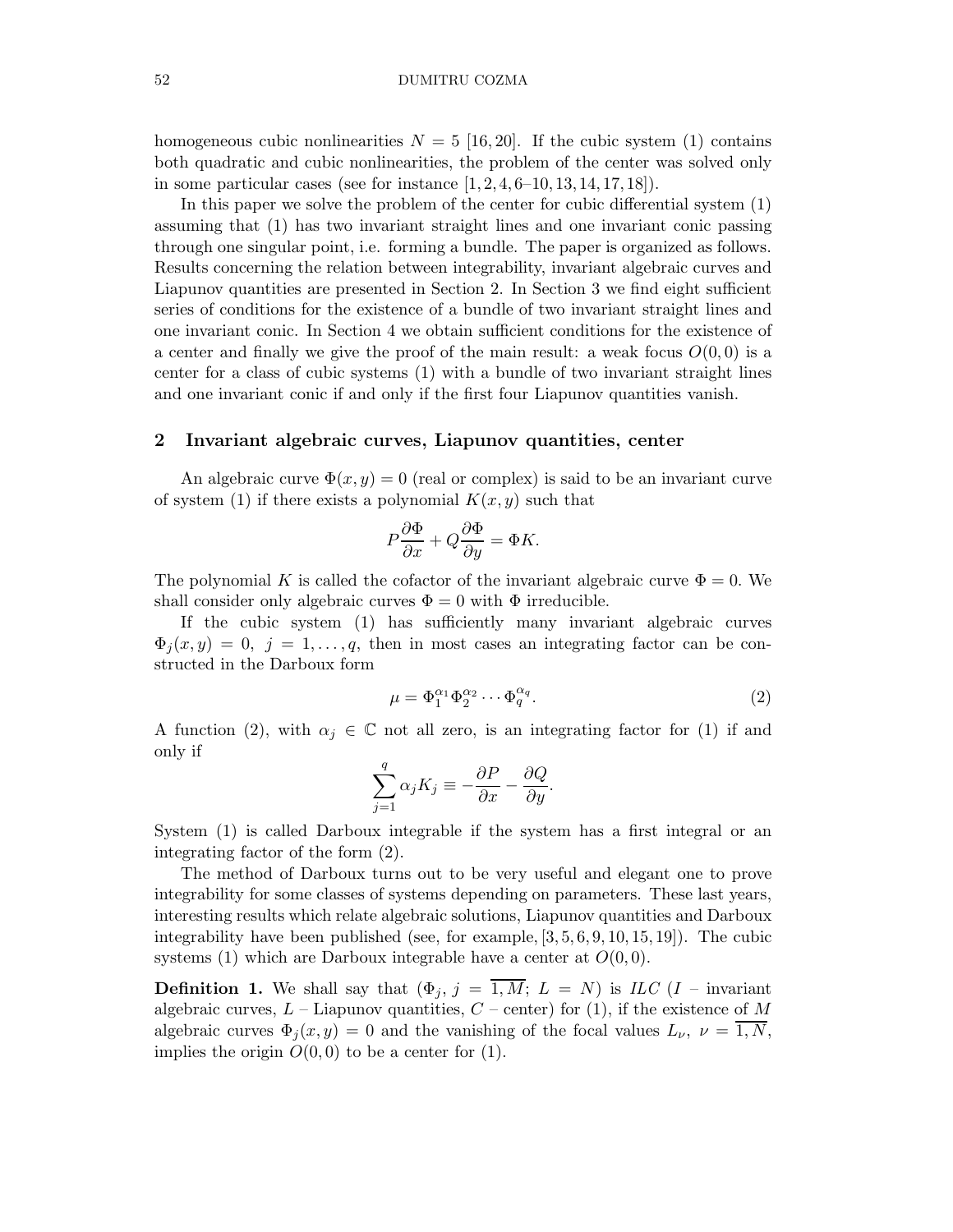homogeneous cubic nonlinearities  $N = 5$  [16, 20]. If the cubic system (1) contains both quadratic and cubic nonlinearities, the problem of the center was solved only in some particular cases (see for instance  $[1, 2, 4, 6-10, 13, 14, 17, 18]$ ).

In this paper we solve the problem of the center for cubic differential system (1) assuming that (1) has two invariant straight lines and one invariant conic passing through one singular point, i.e. forming a bundle. The paper is organized as follows. Results concerning the relation between integrability, invariant algebraic curves and Liapunov quantities are presented in Section 2. In Section 3 we find eight sufficient series of conditions for the existence of a bundle of two invariant straight lines and one invariant conic. In Section 4 we obtain sufficient conditions for the existence of a center and finally we give the proof of the main result: a weak focus  $O(0,0)$  is a center for a class of cubic systems (1) with a bundle of two invariant straight lines and one invariant conic if and only if the first four Liapunov quantities vanish.

#### 2 Invariant algebraic curves, Liapunov quantities, center

An algebraic curve  $\Phi(x, y) = 0$  (real or complex) is said to be an invariant curve of system (1) if there exists a polynomial  $K(x, y)$  such that

$$
P\frac{\partial \Phi}{\partial x} + Q\frac{\partial \Phi}{\partial y} = \Phi K.
$$

The polynomial K is called the cofactor of the invariant algebraic curve  $\Phi = 0$ . We shall consider only algebraic curves  $\Phi = 0$  with  $\Phi$  irreducible.

If the cubic system (1) has sufficiently many invariant algebraic curves  $\Phi_i(x, y) = 0, \, j = 1, \ldots, q$ , then in most cases an integrating factor can be constructed in the Darboux form

$$
\mu = \Phi_1^{\alpha_1} \Phi_2^{\alpha_2} \cdots \Phi_q^{\alpha_q}.
$$
\n<sup>(2)</sup>

A function (2), with  $\alpha_j \in \mathbb{C}$  not all zero, is an integrating factor for (1) if and only if

$$
\sum_{j=1}^{q} \alpha_j K_j \equiv -\frac{\partial P}{\partial x} - \frac{\partial Q}{\partial y}.
$$

System (1) is called Darboux integrable if the system has a first integral or an integrating factor of the form (2).

The method of Darboux turns out to be very useful and elegant one to prove integrability for some classes of systems depending on parameters. These last years, interesting results which relate algebraic solutions, Liapunov quantities and Darboux integrability have been published (see, for example,  $[3, 5, 6, 9, 10, 15, 19]$ ). The cubic systems (1) which are Darboux integrable have a center at  $O(0,0)$ .

**Definition 1.** We shall say that  $(\Phi_j, j = \overline{1, M}; L = N)$  is *ILC*  $(I - \text{invariant})$ algebraic curves,  $L$  – Liapunov quantities,  $C$  – center) for (1), if the existence of M algebraic curves  $\Phi_i(x, y) = 0$  and the vanishing of the focal values  $L_{\nu}$ ,  $\nu = 1, N$ , implies the origin  $O(0, 0)$  to be a center for (1).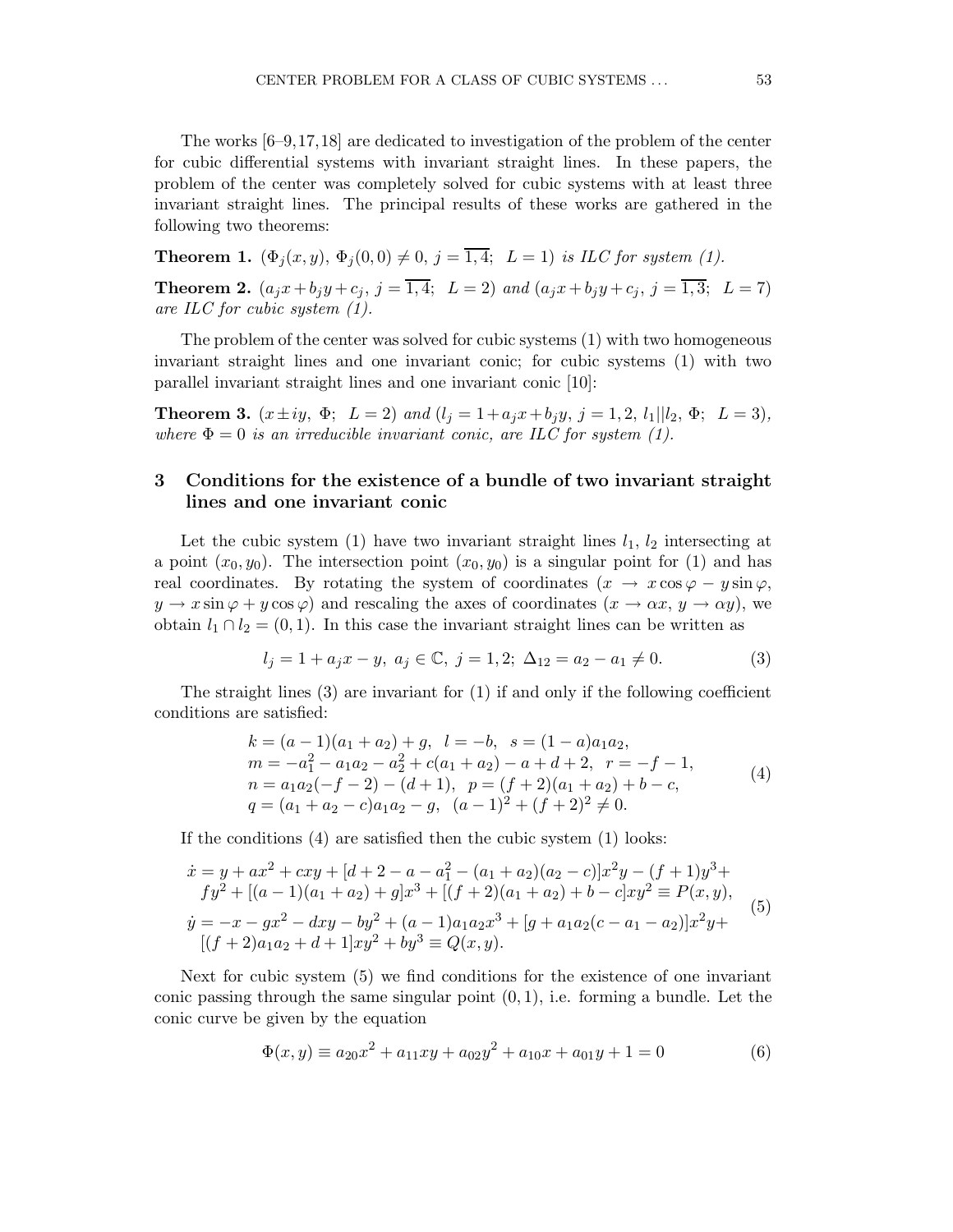The works [6–9,17,18] are dedicated to investigation of the problem of the center for cubic differential systems with invariant straight lines. In these papers, the problem of the center was completely solved for cubic systems with at least three invariant straight lines. The principal results of these works are gathered in the following two theorems:

**Theorem 1.**  $(\Phi_i(x, y), \Phi_i(0, 0) \neq 0, j = \overline{1, 4}; L = 1)$  is ILC for system (1).

**Theorem 2.**  $(a_jx+b_jy+c_j, j=\overline{1,4}; L=2)$  and  $(a_jx+b_jy+c_j, j=\overline{1,3}; L=7)$ are ILC for cubic system (1).

The problem of the center was solved for cubic systems (1) with two homogeneous invariant straight lines and one invariant conic; for cubic systems (1) with two parallel invariant straight lines and one invariant conic [10]:

**Theorem 3.**  $(x \pm iy, \Phi; L = 2)$  and  $(l_i = 1 + a_i x + b_i y, j = 1, 2, l_1 || l_2, \Phi; L = 3)$ , where  $\Phi = 0$  is an irreducible invariant conic, are ILC for system (1).

## 3 Conditions for the existence of a bundle of two invariant straight lines and one invariant conic

Let the cubic system (1) have two invariant straight lines  $l_1, l_2$  intersecting at a point  $(x_0, y_0)$ . The intersection point  $(x_0, y_0)$  is a singular point for (1) and has real coordinates. By rotating the system of coordinates  $(x \to x \cos \varphi - y \sin \varphi,$  $y \to x \sin \varphi + y \cos \varphi$  and rescaling the axes of coordinates  $(x \to \alpha x, y \to \alpha y)$ , we obtain  $l_1 \cap l_2 = (0, 1)$ . In this case the invariant straight lines can be written as

$$
l_j = 1 + a_j x - y, \ a_j \in \mathbb{C}, \ j = 1, 2; \ \Delta_{12} = a_2 - a_1 \neq 0. \tag{3}
$$

The straight lines  $(3)$  are invariant for  $(1)$  if and only if the following coefficient conditions are satisfied:

$$
k = (a - 1)(a_1 + a_2) + g, \quad l = -b, \quad s = (1 - a)a_1a_2,
$$
  
\n
$$
m = -a_1^2 - a_1a_2 - a_2^2 + c(a_1 + a_2) - a + d + 2, \quad r = -f - 1,
$$
  
\n
$$
n = a_1a_2(-f - 2) - (d + 1), \quad p = (f + 2)(a_1 + a_2) + b - c,
$$
  
\n
$$
q = (a_1 + a_2 - c)a_1a_2 - g, \quad (a - 1)^2 + (f + 2)^2 \neq 0.
$$
\n(4)

If the conditions (4) are satisfied then the cubic system (1) looks:

$$
\begin{aligned}\n\dot{x} &= y + ax^2 + cxy + [d+2 - a - a_1^2 - (a_1 + a_2)(a_2 - c)]x^2y - (f+1)y^3 + \\
fy^2 + [(a-1)(a_1 + a_2) + g]x^3 + [(f+2)(a_1 + a_2) + b - c]xy^2 \equiv P(x, y), \\
\dot{y} &= -x - gx^2 - dxy - by^2 + (a-1)a_1a_2x^3 + [g + a_1a_2(c - a_1 - a_2)]x^2y + \\
[(f+2)a_1a_2 + d + 1]xy^2 + by^3 \equiv Q(x, y).\n\end{aligned} \tag{5}
$$

Next for cubic system (5) we find conditions for the existence of one invariant conic passing through the same singular point  $(0, 1)$ , i.e. forming a bundle. Let the conic curve be given by the equation

$$
\Phi(x,y) \equiv a_{20}x^2 + a_{11}xy + a_{02}y^2 + a_{10}x + a_{01}y + 1 = 0 \tag{6}
$$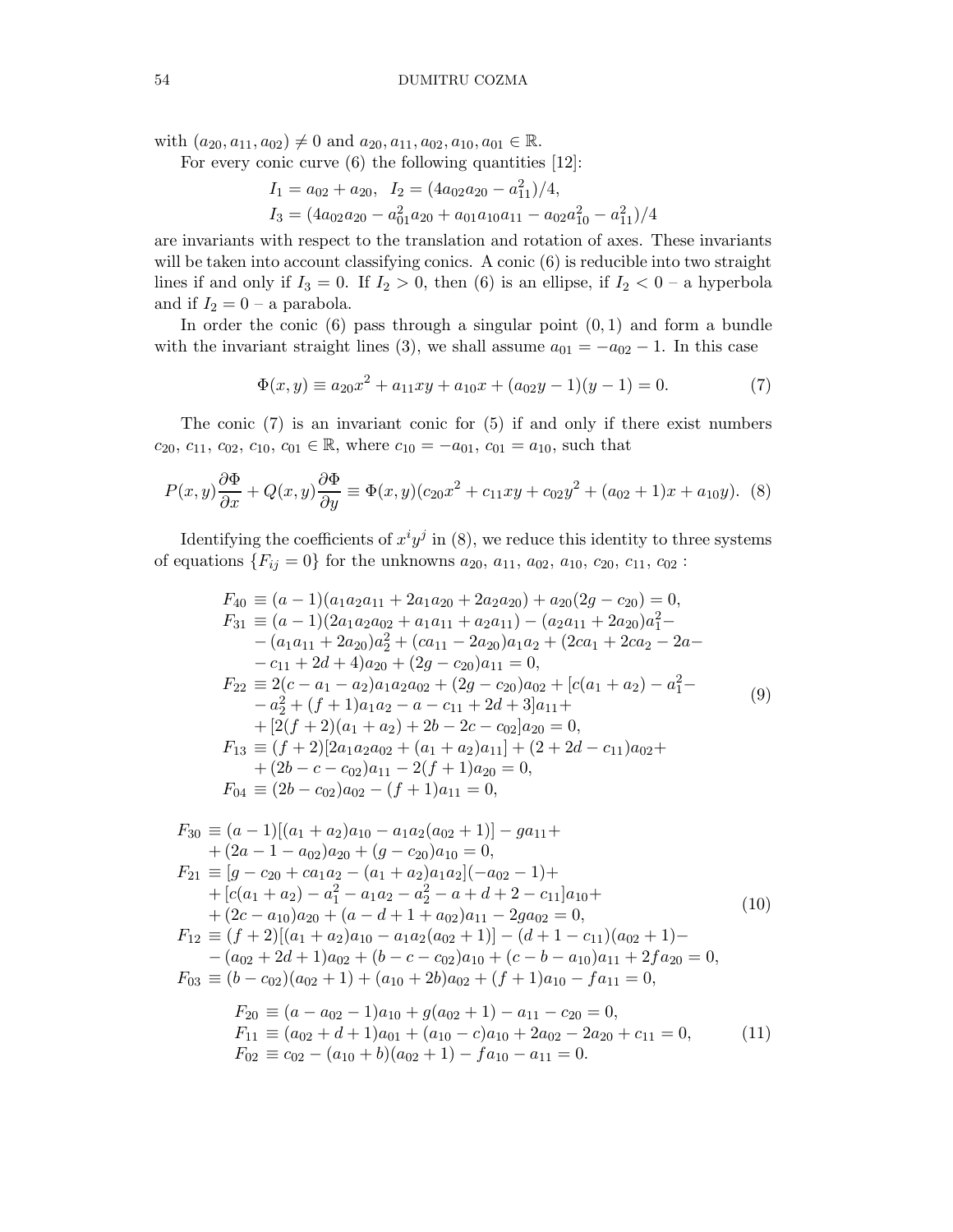with  $(a_{20}, a_{11}, a_{02}) \neq 0$  and  $a_{20}, a_{11}, a_{02}, a_{10}, a_{01} \in \mathbb{R}$ .

For every conic curve  $(6)$  the following quantities  $[12]$ :

$$
I_1 = a_{02} + a_{20}
$$
,  $I_2 = (4a_{02}a_{20} - a_{11}^2)/4$ ,  
\n $I_3 = (4a_{02}a_{20} - a_{01}^2a_{20} + a_{01}a_{10}a_{11} - a_{02}a_{10}^2 - a_{11}^2)/4$ 

are invariants with respect to the translation and rotation of axes. These invariants will be taken into account classifying conics. A conic  $(6)$  is reducible into two straight lines if and only if  $I_3 = 0$ . If  $I_2 > 0$ , then (6) is an ellipse, if  $I_2 < 0$  – a hyperbola and if  $I_2 = 0$  – a parabola.

In order the conic  $(6)$  pass through a singular point  $(0, 1)$  and form a bundle with the invariant straight lines (3), we shall assume  $a_{01} = -a_{02} - 1$ . In this case

$$
\Phi(x,y) \equiv a_{20}x^2 + a_{11}xy + a_{10}x + (a_{02}y - 1)(y - 1) = 0.
$$
 (7)

The conic  $(7)$  is an invariant conic for  $(5)$  if and only if there exist numbers  $c_{20}, c_{11}, c_{02}, c_{10}, c_{01} \in \mathbb{R}$ , where  $c_{10} = -a_{01}, c_{01} = a_{10}$ , such that

$$
P(x,y)\frac{\partial \Phi}{\partial x} + Q(x,y)\frac{\partial \Phi}{\partial y} \equiv \Phi(x,y)(c_{20}x^2 + c_{11}xy + c_{02}y^2 + (a_{02} + 1)x + a_{10}y).
$$
 (8)

Identifying the coefficients of  $x^i y^j$  in (8), we reduce this identity to three systems of equations  $\{F_{ij} = 0\}$  for the unknowns  $a_{20}, a_{11}, a_{02}, a_{10}, c_{20}, c_{11}, c_{02}$ :

$$
F_{40} = (a - 1)(a_1a_2a_{11} + 2a_1a_{20} + 2a_2a_{20}) + a_{20}(2g - c_{20}) = 0,
$$
  
\n
$$
F_{31} = (a - 1)(2a_1a_2a_{02} + a_1a_{11} + a_2a_{11}) - (a_2a_{11} + 2a_{20})a_1^2 - (a_1a_{11} + 2a_{20})a_2^2 + (ca_{11} - 2a_{20})a_1a_2 + (2ca_1 + 2ca_2 - 2a - -c_{11} + 2d + 4)a_{20} + (2g - c_{20})a_{11} = 0,
$$
  
\n
$$
F_{22} = 2(c - a_1 - a_2)a_1a_2a_{02} + (2g - c_{20})a_{02} + [c(a_1 + a_2) - a_1^2 - a_2^2 + (f + 1)a_{12} - a - c_{11} + 2d + 3]a_{11} + (2(f + 2)(a_1 + a_2) + 2b - 2c - c_{02}]a_{20} = 0,
$$
  
\n
$$
F_{13} = (f + 2)[2a_1a_2a_{02} + (a_1 + a_2)a_{11}] + (2 + 2d - c_{11})a_{02} + (2b - c - c_{02})a_{11} - 2(f + 1)a_{20} = 0,
$$
  
\n
$$
F_{04} = (2b - c_{02})a_{02} - (f + 1)a_{11} = 0,
$$
  
\n
$$
F_{30} = (a - 1)[(a_1 + a_2)a_{10} - a_1a_2(a_{02} + 1)] - ga_{11} + (2a - 1 - a_{02})a_{20} + (g - c_{20})a_{10} = 0,
$$
  
\n
$$
F_{21} = [g - c_{20} + ca_{12} - (a_1 + a_2)a_{12}](-a_{02} - 1) + (2c - a_{10})a_{20} + (a - d + 1 + a_{02})a_{11} - 2ga_{22} = 0,
$$
  
\n
$$
F_{12} = (f + 2)[(a_1 + a_2)a
$$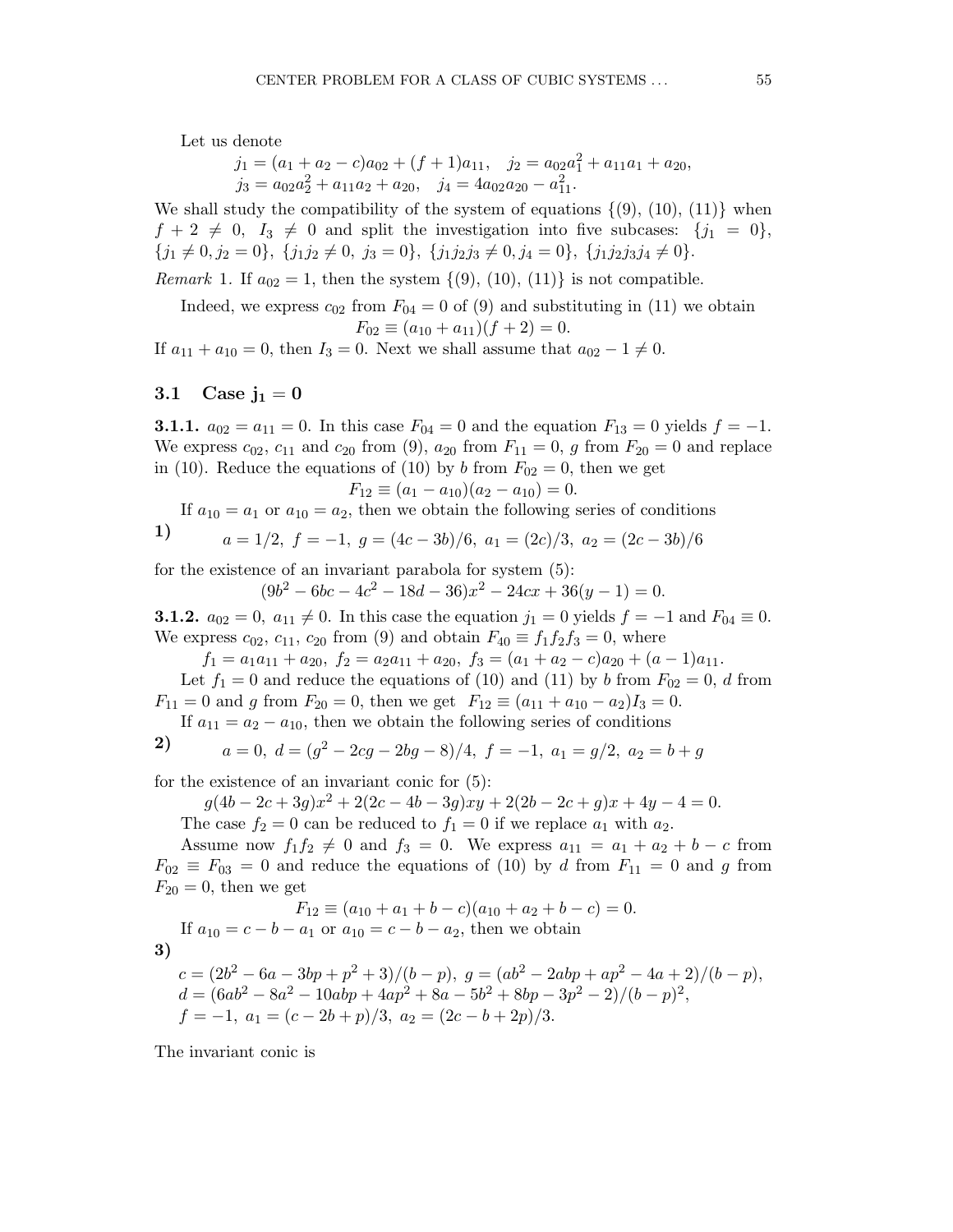Let us denote

$$
\begin{aligned}\nj_1 &= (a_1 + a_2 - c)a_{02} + (f + 1)a_{11}, \quad j_2 = a_{02}a_1^2 + a_{11}a_1 + a_{20}, \\
j_3 &= a_{02}a_2^2 + a_{11}a_2 + a_{20}, \quad j_4 = 4a_{02}a_{20} - a_{11}^2.\n\end{aligned}
$$

We shall study the compatibility of the system of equations  $\{(9), (10), (11)\}\$  when  $f + 2 \neq 0$ ,  $I_3 \neq 0$  and split the investigation into five subcases:  $\{j_1 = 0\}$ ,  $\{j_1 \neq 0, j_2 = 0\}, \{j_1 j_2 \neq 0, j_3 = 0\}, \{j_1 j_2 j_3 \neq 0, j_4 = 0\}, \{j_1 j_2 j_3 j_4 \neq 0\}.$ 

*Remark* 1. If  $a_{02} = 1$ , then the system  $\{(9), (10), (11)\}$  is not compatible.

Indeed, we express 
$$
c_{02}
$$
 from  $F_{04} = 0$  of (9) and substituting in (11) we obtain  
\n
$$
F_{02} \equiv (a_{10} + a_{11})(f + 2) = 0.
$$

If  $a_{11} + a_{10} = 0$ , then  $I_3 = 0$ . Next we shall assume that  $a_{02} - 1 \neq 0$ .

## 3.1 Case  $j_1 = 0$

1)

**3.1.1.**  $a_{02} = a_{11} = 0$ . In this case  $F_{04} = 0$  and the equation  $F_{13} = 0$  yields  $f = -1$ . We express  $c_{02}$ ,  $c_{11}$  and  $c_{20}$  from  $(9)$ ,  $a_{20}$  from  $F_{11} = 0$ , g from  $F_{20} = 0$  and replace in (10). Reduce the equations of (10) by b from  $F_{02} = 0$ , then we get

$$
F_{12} \equiv (a_1 - a_{10})(a_2 - a_{10}) = 0.
$$

If  $a_{10} = a_1$  or  $a_{10} = a_2$ , then we obtain the following series of conditions

$$
a = 1/2
$$
,  $f = -1$ ,  $g = (4c - 3b)/6$ ,  $a_1 = (2c)/3$ ,  $a_2 = (2c - 3b)/6$ 

for the existence of an invariant parabola for system (5):

 $(9b^2 - 6bc - 4c^2 - 18d - 36)x^2 - 24cx + 36(y - 1) = 0.$ 

**3.1.2.**  $a_{02} = 0$ ,  $a_{11} \neq 0$ . In this case the equation  $j_1 = 0$  yields  $f = -1$  and  $F_{04} \equiv 0$ . We express  $c_{02}$ ,  $c_{11}$ ,  $c_{20}$  from (9) and obtain  $F_{40} \equiv f_1 f_2 f_3 = 0$ , where

 $f_1 = a_1a_{11} + a_{20}, f_2 = a_2a_{11} + a_{20}, f_3 = (a_1 + a_2 - c)a_{20} + (a - 1)a_{11}.$ Let  $f_1 = 0$  and reduce the equations of (10) and (11) by b from  $F_{02} = 0$ , d from  $F_{11} = 0$  and g from  $F_{20} = 0$ , then we get  $F_{12} \equiv (a_{11} + a_{10} - a_2)I_3 = 0$ .

If  $a_{11} = a_2 - a_{10}$ , then we obtain the following series of conditions

$$
a = 0, d = (g2 - 2cg - 2bg - 8)/4, f = -1, a1 = g/2, a2 = b + g
$$

for the existence of an invariant conic for (5):

$$
g(4b - 2c + 3g)x^{2} + 2(2c - 4b - 3g)xy + 2(2b - 2c + g)x + 4y - 4 = 0.
$$
  
The case  $f_2 = 0$  can be reduced to  $f_1 = 0$  if we replace  $a_1$  with  $a_2$ .

Assume now  $f_1f_2 \neq 0$  and  $f_3 = 0$ . We express  $a_{11} = a_1 + a_2 + b - c$  from  $F_{02} \equiv F_{03} = 0$  and reduce the equations of (10) by d from  $F_{11} = 0$  and g from  $F_{20} = 0$ , then we get

$$
F_{12} \equiv (a_{10} + a_1 + b - c)(a_{10} + a_2 + b - c) = 0.
$$
  
\nIf  $a_{10} = c - b - a_1$  or  $a_{10} = c - b - a_2$ , then we obtain  
\n3)  
\n
$$
c = (2b^2 - 6a - 3bp + p^2 + 3)/(b - p), g = (ab^2 - 2abp + ap^2 - 4a + 2)/(b - p),
$$
  
\n
$$
d = (6ab^2 - 8a^2 - 10abp + 4ap^2 + 8a - 5b^2 + 8bp - 3p^2 - 2)/(b - p)^2,
$$
  
\n
$$
f = -1, a_1 = (c - 2b + p)/3, a_2 = (2c - b + 2p)/3.
$$

The invariant conic is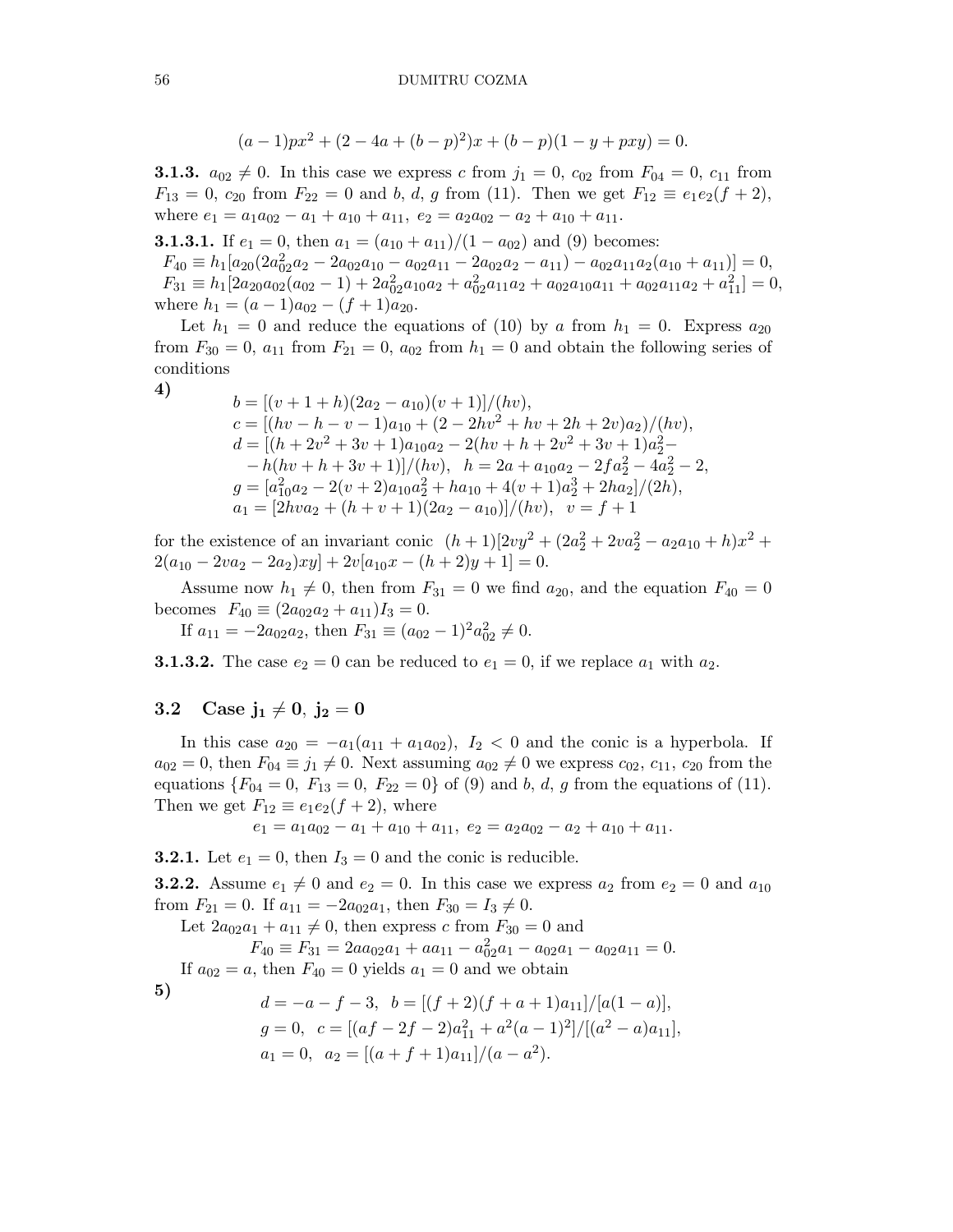$$
(a-1)px2 + (2 - 4a + (b - p)2)x + (b - p)(1 - y + pxy) = 0.
$$

**3.1.3.**  $a_{02} \neq 0$ . In this case we express c from  $j_1 = 0$ ,  $c_{02}$  from  $F_{04} = 0$ ,  $c_{11}$  from  $F_{13} = 0$ ,  $c_{20}$  from  $F_{22} = 0$  and b, d, g from (11). Then we get  $F_{12} \equiv e_1 e_2 (f + 2)$ , where  $e_1 = a_1a_{02} - a_1 + a_{10} + a_{11}$ ,  $e_2 = a_2a_{02} - a_2 + a_{10} + a_{11}$ .

**3.1.3.1.** If  $e_1 = 0$ , then  $a_1 = (a_{10} + a_{11})/(1 - a_{02})$  and (9) becomes:

 $F_{40} \equiv h_1[a_{20}(2a_{02}^2a_2 - 2a_{02}a_{10} - a_{02}a_{11} - 2a_{02}a_2 - a_{11}) - a_{02}a_{11}a_2(a_{10} + a_{11})] = 0,$  $F_{31} \equiv h_1 \left[ 2a_{20}a_{02}(a_{02} - 1) + 2a_{02}^2a_{10}a_2 + a_{02}^2a_{11}a_2 + a_{02}a_{10}a_{11} + a_{02}a_{11}a_2 + a_{11}^2 \right] = 0,$ where  $h_1 = (a-1)a_{02} - (f+1)a_{20}$ .

Let  $h_1 = 0$  and reduce the equations of (10) by a from  $h_1 = 0$ . Express  $a_{20}$ from  $F_{30} = 0$ ,  $a_{11}$  from  $F_{21} = 0$ ,  $a_{02}$  from  $h_1 = 0$  and obtain the following series of conditions

4)

$$
b = [(v + 1 + h)(2a2 - a10)(v + 1)]/(hv),
$$
  
\n
$$
c = [(hv - h - v - 1)a10 + (2 - 2hv2 + hv + 2h + 2v)a2)/(hv),
$$
  
\n
$$
d = [(h + 2v2 + 3v + 1)a10a2 - 2(hv + h + 2v2 + 3v + 1)a22 -\n-h(hv + h + 3v + 1)]/(hv), h = 2a + a10a2 - 2fa22 - 4a22 - 2,\ng = [a102a2 - 2(v + 2)a10a22 + ha10 + 4(v + 1)a23 + 2ha2]/(2h),\na1 = [2hv2 + (h + v + 1)(2a2 - a10)]/(hv), v = f + 1
$$

for the existence of an invariant conic  $(h+1)[2vy^2 + (2a_2^2 + 2va_2^2 - a_2a_{10} + h)x^2 +$  $2(a_{10} - 2va_2 - 2a_2)xy + 2v[a_{10}x - (h+2)y + 1] = 0.$ 

Assume now  $h_1 \neq 0$ , then from  $F_{31} = 0$  we find  $a_{20}$ , and the equation  $F_{40} = 0$ becomes  $F_{40} \equiv (2a_{02}a_2 + a_{11})I_3 = 0.$ 

If  $a_{11} = -2a_{02}a_2$ , then  $F_{31} \equiv (a_{02} - 1)^2 a_{02}^2 \neq 0$ .

**3.1.3.2.** The case  $e_2 = 0$  can be reduced to  $e_1 = 0$ , if we replace  $a_1$  with  $a_2$ .

## 3.2 Case  $j_1 \neq 0, j_2 = 0$

In this case  $a_{20} = -a_1(a_{11} + a_1a_{02}), I_2 < 0$  and the conic is a hyperbola. If  $a_{02} = 0$ , then  $F_{04} \equiv j_1 \neq 0$ . Next assuming  $a_{02} \neq 0$  we express  $c_{02}$ ,  $c_{11}$ ,  $c_{20}$  from the equations  $\{F_{04} = 0, F_{13} = 0, F_{22} = 0\}$  of (9) and b, d, g from the equations of (11). Then we get  $F_{12} \equiv e_1 e_2 (f + 2)$ , where

$$
e_1 = a_1 a_{02} - a_1 + a_{10} + a_{11}, e_2 = a_2 a_{02} - a_2 + a_{10} + a_{11}.
$$

**3.2.1.** Let  $e_1 = 0$ , then  $I_3 = 0$  and the conic is reducible.

**3.2.2.** Assume  $e_1 \neq 0$  and  $e_2 = 0$ . In this case we express  $a_2$  from  $e_2 = 0$  and  $a_{10}$ from  $F_{21} = 0$ . If  $a_{11} = -2a_{02}a_1$ , then  $F_{30} = I_3 \neq 0$ .

Let  $2a_{02}a_1 + a_{11} \neq 0$ , then express c from  $F_{30} = 0$  and

 $F_{40} \equiv F_{31} = 2aa_{02}a_1 + aa_{11} - a_{02}^2a_1 - a_{02}a_1 - a_{02}a_{11} = 0.$ If  $a_{02} = a$ , then  $F_{40} = 0$  yields  $a_1 = 0$  and we obtain

$$
5)
$$

$$
d = -a - f - 3, \quad b = \left[ (f + 2)(f + a + 1)a_{11} \right] / \left[ a(1 - a) \right],
$$
\n
$$
g = 0, \quad c = \left[ (af - 2f - 2)a_{11}^2 + a^2(a - 1)^2 \right] / \left[ (a^2 - a)a_{11} \right],
$$
\n
$$
a_1 = 0, \quad a_2 = \left[ (a + f + 1)a_{11} \right] / (a - a^2).
$$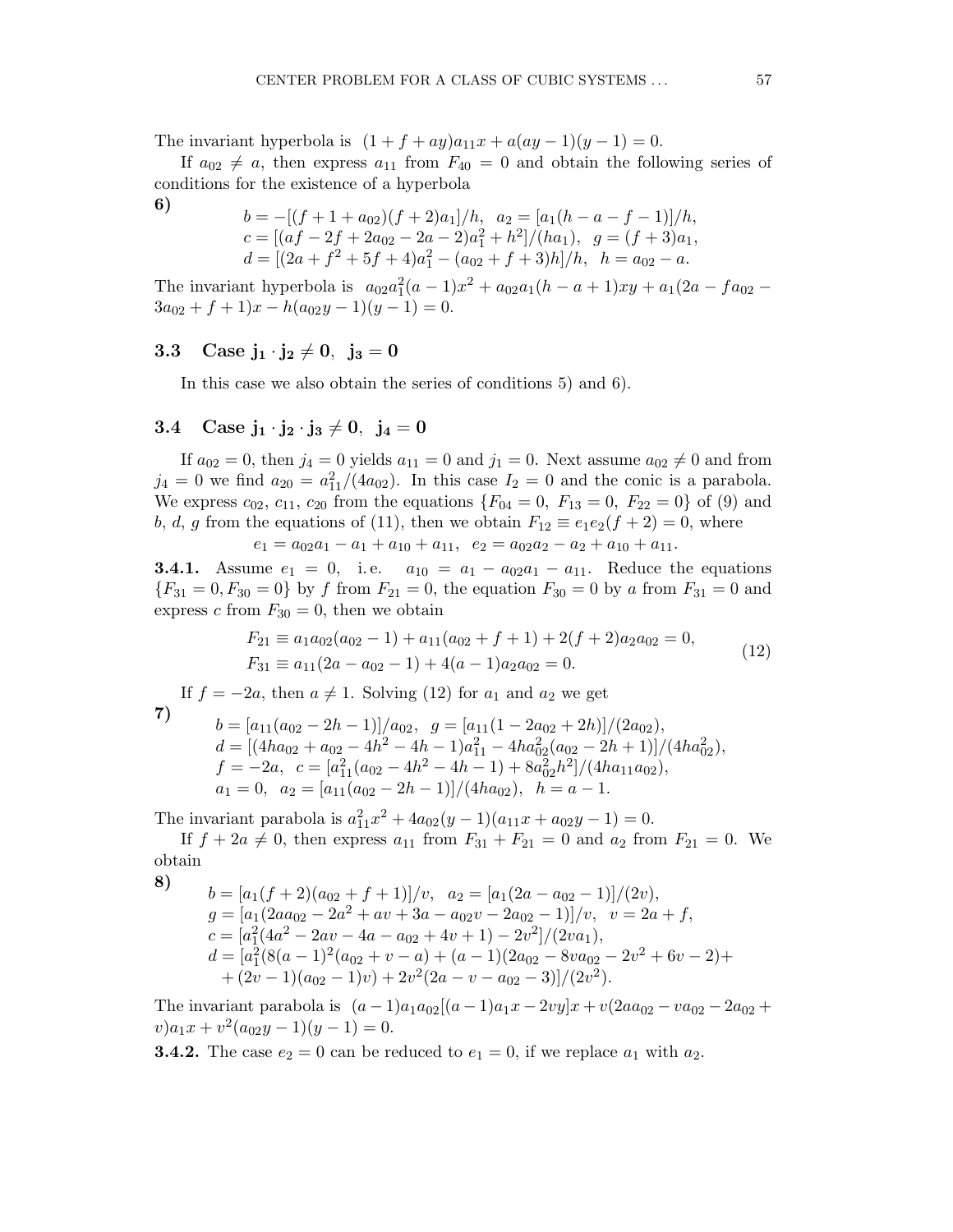The invariant hyperbola is  $(1 + f + ay)a_{11}x + a(ay - 1)(y - 1) = 0$ .

If  $a_{02} \neq a$ , then express  $a_{11}$  from  $F_{40} = 0$  and obtain the following series of conditions for the existence of a hyperbola

6)  
\n
$$
b = -[(f + 1 + a_{02})(f + 2)a_1]/h, \quad a_2 = [a_1(h - a - f - 1)]/h,
$$
\n
$$
c = [(af - 2f + 2a_{02} - 2a - 2)a_1^2 + h^2]/(ha_1), \quad g = (f + 3)a_1,
$$
\n
$$
d = [(2a + f^2 + 5f + 4)a_1^2 - (a_{02} + f + 3)h]/h, \quad h = a_{02} - a.
$$

The invariant hyperbola is  $a_{02}a_1^2(a-1)x^2 + a_{02}a_1(h-a+1)xy + a_1(2a - fa_{02} 3a_{02} + f + 1)x - h(a_{02}y - 1)(y - 1) = 0.$ 

## 3.3 Case  $j_1 \cdot j_2 \neq 0$ ,  $j_3 = 0$

In this case we also obtain the series of conditions 5) and 6).

## 3.4 Case  $j_1 \cdot j_2 \cdot j_3 \neq 0$ ,  $j_4 = 0$

If  $a_{02} = 0$ , then  $j_4 = 0$  yields  $a_{11} = 0$  and  $j_1 = 0$ . Next assume  $a_{02} \neq 0$  and from  $j_4 = 0$  we find  $a_{20} = a_{11}^2/(4a_{02})$ . In this case  $I_2 = 0$  and the conic is a parabola. We express  $c_{02}$ ,  $c_{11}$ ,  $c_{20}$  from the equations  $\{F_{04} = 0, F_{13} = 0, F_{22} = 0\}$  of (9) and b, d, g from the equations of (11), then we obtain  $F_{12} \equiv e_1 e_2 (f + 2) = 0$ , where

$$
e_1 = a_{02}a_1 - a_1 + a_{10} + a_{11}, e_2 = a_{02}a_2 - a_2 + a_{10} + a_{11}.
$$

**3.4.1.** Assume  $e_1 = 0$ , i.e.  $a_{10} = a_1 - a_{02}a_1 - a_{11}$ . Reduce the equations  ${F_{31} = 0, F_{30} = 0}$  by f from  $F_{21} = 0$ , the equation  $F_{30} = 0$  by a from  $F_{31} = 0$  and express c from  $F_{30} = 0$ , then we obtain

$$
F_{21} \equiv a_1 a_{02} (a_{02} - 1) + a_{11} (a_{02} + f + 1) + 2(f + 2) a_2 a_{02} = 0,
$$
  
\n
$$
F_{31} \equiv a_{11} (2a - a_{02} - 1) + 4(a - 1) a_2 a_{02} = 0.
$$
\n(12)

If  $f = -2a$ , then  $a \neq 1$ . Solving (12) for  $a_1$  and  $a_2$  we get

$$
7)
$$

7)  
\n
$$
b = [a_{11}(a_{02} - 2h - 1)]/a_{02}, \quad g = [a_{11}(1 - 2a_{02} + 2h)]/(2a_{02}),
$$
\n
$$
d = [(4ha_{02} + a_{02} - 4h^2 - 4h - 1)a_{11}^2 - 4ha_{02}^2(a_{02} - 2h + 1)]/(4ha_{02}^2),
$$
\n
$$
f = -2a, \quad c = [a_{11}^2(a_{02} - 4h^2 - 4h - 1) + 8a_{02}^2h^2]/(4ha_{11}a_{02}),
$$
\n
$$
a_1 = 0, \quad a_2 = [a_{11}(a_{02} - 2h - 1)]/(4ha_{02}), \quad h = a - 1.
$$

The invariant parabola is  $a_{11}^2x^2 + 4a_{02}(y-1)(a_{11}x + a_{02}y - 1) = 0$ .

If  $f + 2a \neq 0$ , then express  $a_{11}$  from  $F_{31} + F_{21} = 0$  and  $a_2$  from  $F_{21} = 0$ . We obtain

8)  
\n
$$
b = [a_1(f+2)(a_{02}+f+1)]/v, \quad a_2 = [a_1(2a-a_{02}-1)]/(2v),
$$
\n
$$
g = [a_1(2aa_{02}-2a^2+av+3a-a_{02}v-2a_{02}-1)]/v, \quad v = 2a+f,
$$
\n
$$
c = [a_1^2(4a^2-2av-4a-a_{02}+4v+1)-2v^2]/(2va_1),
$$
\n
$$
d = [a_1^2(8(a-1)^2(a_{02}+v-a)+(a-1)(2a_{02}-8va_{02}-2v^2+6v-2)+
$$
\n
$$
+(2v-1)(a_{02}-1)v)+2v^2(2a-v-a_{02}-3)]/(2v^2).
$$

The invariant parabola is  $(a - 1)a_1a_{02}[(a - 1)a_1x - 2vy]x + v(2aa_{02} - va_{02} - 2a_{02} +$  $v)a_1x + v^2(a_{02}y - 1)(y - 1) = 0.$ 

**3.4.2.** The case  $e_2 = 0$  can be reduced to  $e_1 = 0$ , if we replace  $a_1$  with  $a_2$ .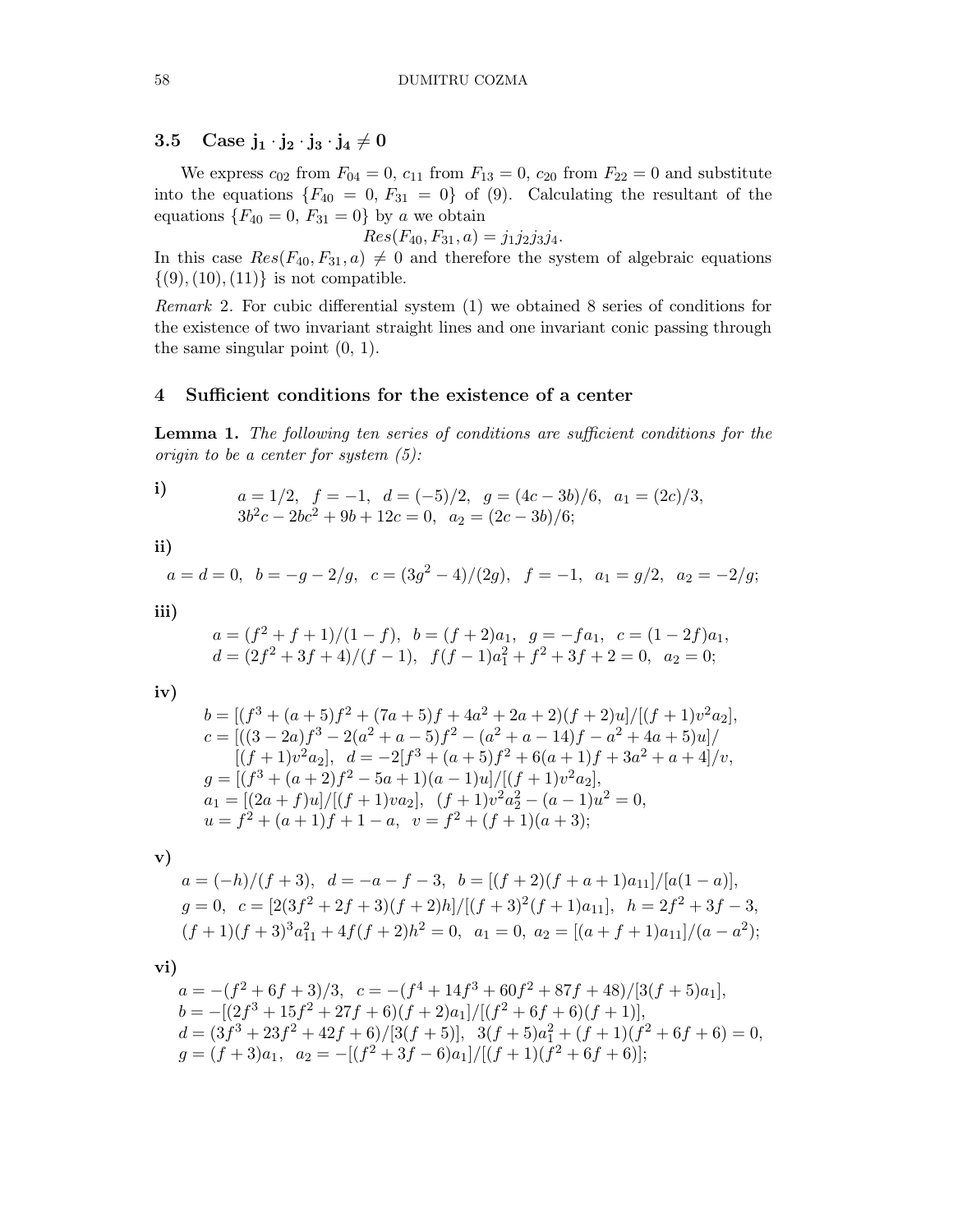## 3.5 Case  $j_1 \cdot j_2 \cdot j_3 \cdot j_4 \neq 0$

We express  $c_{02}$  from  $F_{04} = 0$ ,  $c_{11}$  from  $F_{13} = 0$ ,  $c_{20}$  from  $F_{22} = 0$  and substitute into the equations  ${F_{40} = 0, F_{31} = 0}$  of (9). Calculating the resultant of the equations  ${F_{40} = 0, F_{31} = 0}$  by a we obtain

 $Res(F_{40}, F_{31}, a) = j_1 j_2 j_3 j_4.$ 

In this case  $Res(F_{40}, F_{31}, a) \neq 0$  and therefore the system of algebraic equations  $\{(9), (10), (11)\}\$ is not compatible.

Remark 2. For cubic differential system (1) we obtained 8 series of conditions for the existence of two invariant straight lines and one invariant conic passing through the same singular point (0, 1).

## 4 Sufficient conditions for the existence of a center

Lemma 1. The following ten series of conditions are sufficient conditions for the origin to be a center for system  $(5)$ :

$$
\mathbf{i})
$$

i) 
$$
a = 1/2
$$
,  $f = -1$ ,  $d = (-5)/2$ ,  $g = (4c - 3b)/6$ ,  $a_1 = (2c)/3$ ,  
\n $3b^2c - 2bc^2 + 9b + 12c = 0$ ,  $a_2 = (2c - 3b)/6$ ;

$$
\mathrm{ii})
$$

$$
a = d = 0
$$
,  $b = -g - 2/g$ ,  $c = (3g^2 - 4)/(2g)$ ,  $f = -1$ ,  $a_1 = g/2$ ,  $a_2 = -2/g$ ;

iii)

$$
a = (f2 + f + 1)/(1 - f), b = (f + 2)a1, g = -fa1, c = (1 - 2f)a1,d = (2f2 + 3f + 4)/(f - 1), f(f - 1)a12 + f2 + 3f + 2 = 0, a2 = 0;
$$

iv)

$$
b = [(f3 + (a + 5)f2 + (7a + 5)f + 4a2 + 2a + 2)(f + 2)u]/[(f + 1)v2a2],\nc = [(3 – 2a)f3 – 2(a2 + a – 5)f2 – (a2 + a – 14)f – a2 + 4a + 5)u]/[(f + 1)v2a2],\nd = -2[f3 + (a + 5)f2 + 6(a + 1)f + 3a2 + a + 4]/v,\ng = [(f3 + (a + 2)f2 – 5a + 1)(a – 1)u]/[(f + 1)v2a2],\na1 = [(2a + f)u]/[(f + 1)va2], (f + 1)v2a22 – (a – 1)u2 = 0,\nu = f2 + (a + 1)f + 1 – a, v = f2 + (f + 1)(a + 3);
$$

v)

$$
a = (-h)/(f+3), d = -a - f - 3, b = [(f+2)(f+a+1)a_{11}]/[a(1-a)],
$$
  
\n
$$
g = 0, c = [2(3f^2+2f+3)(f+2)h]/[(f+3)^2(f+1)a_{11}], h = 2f^2+3f-3,
$$
  
\n
$$
(f+1)(f+3)^3a_{11}^2+4f(f+2)h^2 = 0, a_1 = 0, a_2 = [(a+f+1)a_{11}]/(a-a^2);
$$

$$
\mathbf{vi})
$$

$$
a = -(f^2 + 6f + 3)/3, c = -(f^4 + 14f^3 + 60f^2 + 87f + 48)/[3(f + 5)a_1],b = -[(2f^3 + 15f^2 + 27f + 6)(f + 2)a_1]/[(f^2 + 6f + 6)(f + 1)],d = (3f^3 + 23f^2 + 42f + 6)/[3(f + 5)], 3(f + 5)a_1^2 + (f + 1)(f^2 + 6f + 6) = 0,g = (f + 3)a_1, a_2 = -[(f^2 + 3f - 6)a_1]/[(f + 1)(f^2 + 6f + 6)];
$$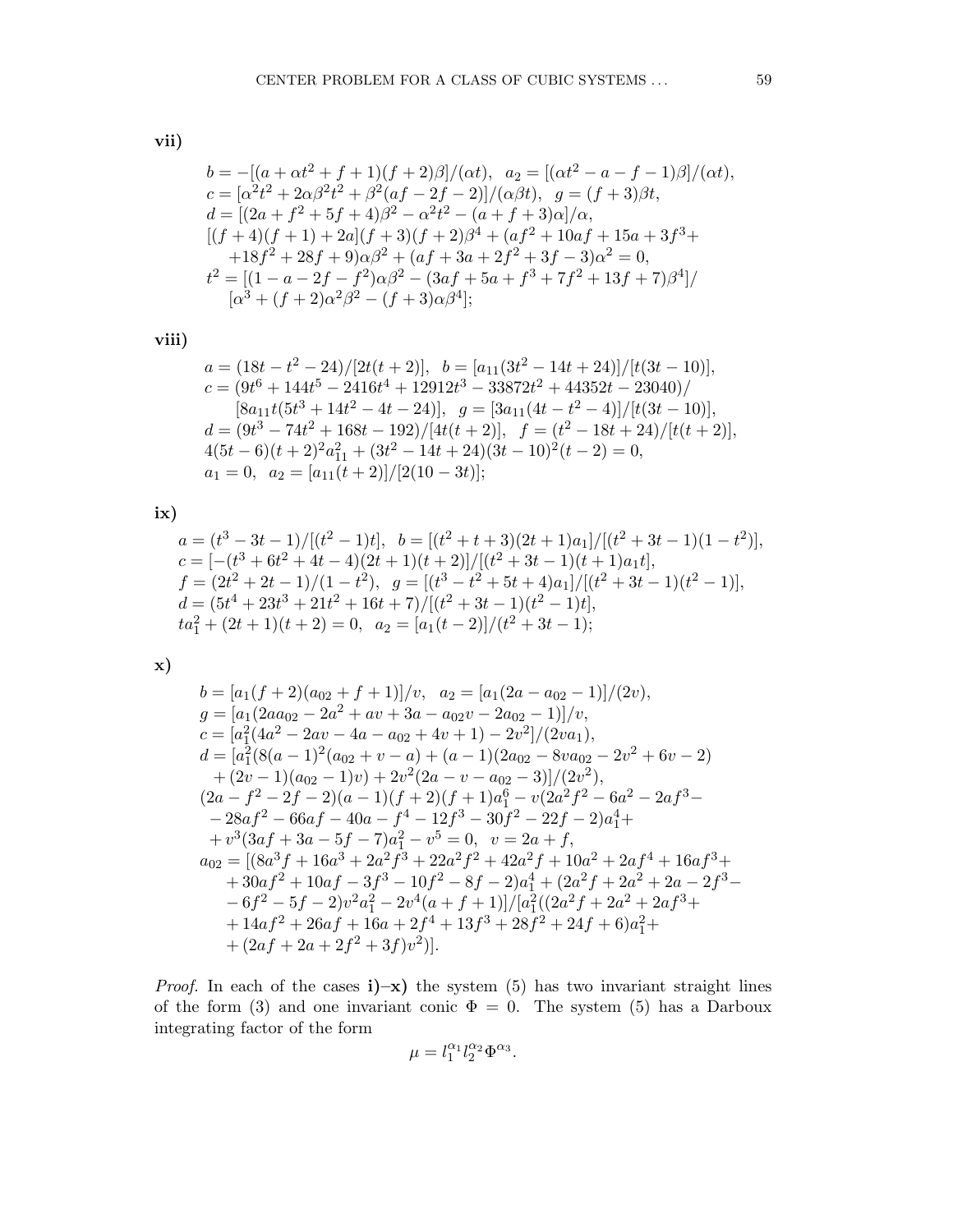vii)

$$
b = -[(a + \alpha t^2 + f + 1)(f + 2)\beta]/(\alpha t), \quad a_2 = [(\alpha t^2 - a - f - 1)\beta]/(\alpha t),
$$
  
\n
$$
c = [\alpha^2 t^2 + 2\alpha\beta^2 t^2 + \beta^2(a f - 2f - 2)]/(\alpha\beta t), \quad g = (f + 3)\beta t,
$$
  
\n
$$
d = [(2a + f^2 + 5f + 4)\beta^2 - \alpha^2 t^2 - (a + f + 3)\alpha]/\alpha,
$$
  
\n
$$
[(f + 4)(f + 1) + 2a](f + 3)(f + 2)\beta^4 + (af^2 + 10af + 15a + 3f^3 +
$$
  
\n
$$
+18f^2 + 28f + 9)\alpha\beta^2 + (af + 3a + 2f^2 + 3f - 3)\alpha^2 = 0,
$$
  
\n
$$
t^2 = [(1 - a - 2f - f^2)\alpha\beta^2 - (3af + 5a + f^3 + 7f^2 + 13f + 7)\beta^4]/
$$
  
\n
$$
[\alpha^3 + (f + 2)\alpha^2\beta^2 - (f + 3)\alpha\beta^4];
$$

viii)

$$
a = (18t - t^2 - 24)/[2t(t+2)], \quad b = [a_{11}(3t^2 - 14t + 24)]/[t(3t - 10)],
$$
  
\n
$$
c = (9t^6 + 144t^5 - 2416t^4 + 12912t^3 - 33872t^2 + 44352t - 23040)/[8a_{11}t(5t^3 + 14t^2 - 4t - 24)], \quad g = [3a_{11}(4t - t^2 - 4)]/[t(3t - 10)],
$$
  
\n
$$
d = (9t^3 - 74t^2 + 168t - 192)/[4t(t+2)], \quad f = (t^2 - 18t + 24)/[t(t+2)],
$$
  
\n
$$
4(5t - 6)(t + 2)^2 a_{11}^2 + (3t^2 - 14t + 24)(3t - 10)^2(t - 2) = 0,
$$
  
\n
$$
a_1 = 0, \quad a_2 = [a_{11}(t+2)]/[2(10 - 3t)];
$$

ix)

$$
a = (t^3 - 3t - 1)/[(t^2 - 1)t], \quad b = [(t^2 + t + 3)(2t + 1)a_1]/[(t^2 + 3t - 1)(1 - t^2)],
$$
  
\n
$$
c = [-(t^3 + 6t^2 + 4t - 4)(2t + 1)(t + 2)]/[(t^2 + 3t - 1)(t + 1)a_1t],
$$
  
\n
$$
f = (2t^2 + 2t - 1)/(1 - t^2), \quad g = [(t^3 - t^2 + 5t + 4)a_1]/[(t^2 + 3t - 1)(t^2 - 1)],
$$
  
\n
$$
d = (5t^4 + 23t^3 + 21t^2 + 16t + 7)/[(t^2 + 3t - 1)(t^2 - 1)t],
$$
  
\n
$$
ta_1^2 + (2t + 1)(t + 2) = 0, \quad a_2 = [a_1(t - 2)]/(t^2 + 3t - 1);
$$

x)

$$
b = [a_1(f + 2)(a_{02} + f + 1)]/v, a_2 = [a_1(2a - a_{02} - 1)]/(2v),
$$
  
\n
$$
g = [a_1(2aa_{02} - 2a^2 + av + 3a - a_{02}v - 2a_{02} - 1)]/v,
$$
  
\n
$$
c = [a_1^2(4a^2 - 2av - 4a - a_{02} + 4v + 1) - 2v^2]/(2va_1),
$$
  
\n
$$
d = [a_1^2(8(a - 1)^2(a_{02} + v - a) + (a - 1)(2a_{02} - 8va_{02} - 2v^2 + 6v - 2)
$$
  
\n
$$
+ (2v - 1)(a_{02} - 1)v) + 2v^2(2a - v - a_{02} - 3)]/(2v^2),
$$
  
\n
$$
(2a - f^2 - 2f - 2)(a - 1)(f + 2)(f + 1)a_1^6 - v(2a^2f^2 - 6a^2 - 2af^3 - 28af^2 - 66af - 40a - f^4 - 12f^3 - 30f^2 - 22f - 2)a_1^4 +
$$
  
\n
$$
+ v^3(3af + 3a - 5f - 7)a_1^2 - v^5 = 0, v = 2a + f,
$$
  
\n
$$
a_{02} = [(8a^3f + 16a^3 + 2a^2f^3 + 22a^2f^2 + 42a^2f + 10a^2 + 2af^4 + 16af^3 + 30af^2 + 10af - 3f^3 - 10f^2 - 8f - 2)a_1^4 + (2a^2f + 2a^2 + 2a - 2f^3 - 6f^2 - 5f - 2)v^2a_1^2 - 2v^4(a + f + 1)]/[a_1^2((2a^2f + 2a^2 + 2af^3 + 414af^2 + 26af + 16a + 2f^4 + 13f^3 + 28f^2 + 24f + 6)a_1^2 +
$$
  
\n
$$
+ (2af + 2a + 2f^2 + 3f)v^2)].
$$

*Proof.* In each of the cases  $i$ )–x) the system (5) has two invariant straight lines of the form (3) and one invariant conic  $\Phi = 0$ . The system (5) has a Darboux integrating factor of the form

$$
\mu = l_1^{\alpha_1} l_2^{\alpha_2} \Phi^{\alpha_3}.
$$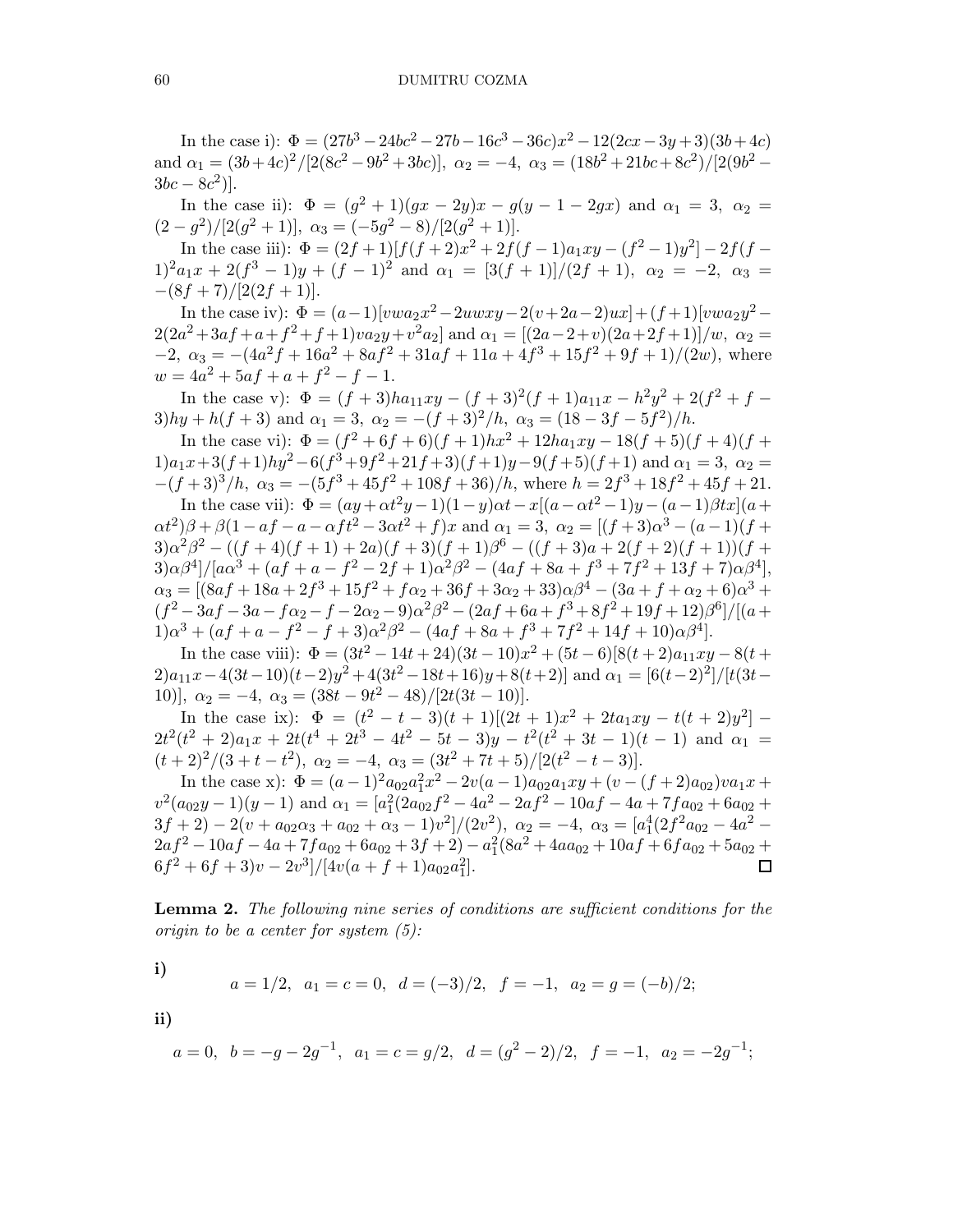In the case i):  $\Phi = (27b^3 - 24bc^2 - 27b - 16c^3 - 36c)x^2 - 12(2cx - 3y + 3)(3b + 4c)$ and  $\alpha_1 = (3b+4c)^2/[2(8c^2-9b^2+3bc)]$ ,  $\alpha_2 = -4$ ,  $\alpha_3 = (18b^2+21bc+8c^2)/[2(9b^2 3bc - 8c^2$ )].

In the case ii):  $\Phi = (g^2 + 1)(gx - 2y)x - g(y - 1 - 2gx)$  and  $\alpha_1 = 3$ ,  $\alpha_2 =$  $(2-g^2)/[2(g^2+1)], \ \alpha_3 = (-5g^2-8)/[2(g^2+1)].$ 

In the case iii):  $\Phi = (2f+1)[f(f+2)x^2 + 2f(f-1)a_1xy - (f^2-1)y^2] - 2f(f-1)a_2xy - f^2f^2 - 2f(f-1)a_1xy - f^2f^2 - 2f^2f^2]$  $(1)^2 a_1 x + 2(f^3 - 1)y + (f - 1)^2$  and  $\alpha_1 = (3(f + 1))/(2f + 1), \alpha_2 = -2, \alpha_3 =$  $-(8f+7)/[2(2f+1)].$ 

In the case iv):  $\Phi = (a-1)[vwa_2x^2 - 2uwxy - 2(v+2a-2)ux] + (f+1)[vwazy^2 2(2a^2+3af+a+f^2+f+1)va_2y+v^2a_2$  and  $\alpha_1=[(2a-2+v)(2a+2f+1)]/w, \alpha_2=$  $-2, \ \alpha_3 = -(4a^2f + 16a^2 + 8af^2 + 31af + 11a + 4f^3 + 15f^2 + 9f + 1)/(2w)$ , where  $w = 4a^2 + 5af + a + f^2 - f - 1.$ 

In the case v):  $\Phi = (f+3)ha_{11}xy - (f+3)^2(f+1)a_{11}x - h^2y^2 + 2(f^2 + f 3)hy + h(f+3)$  and  $\alpha_1 = 3$ ,  $\alpha_2 = -(f+3)^2/h$ ,  $\alpha_3 = (18-3f-5f^2)/h$ .

In the case vi):  $\Phi = (f^2 + 6f + 6)(f + 1)hx^2 + 12ha_1xy - 18(f + 5)(f + 4)(f + 1)$  $1)a_1x+3(f+1)hy^2-6(f^3+9f^2+21f+3)(f+1)y-9(f+5)(f+1)$  and  $\alpha_1=3, \alpha_2=$  $-(f+3)^3/h$ ,  $\alpha_3 = -(5f^3+45f^2+108f+36)/h$ , where  $h = 2f^3+18f^2+45f+21$ .

In the case vii):  $\Phi = (ay + \alpha t^2y - 1)(1 - y)\alpha t - x[(a - \alpha t^2 - 1)y - (a - 1)\beta tx](a +$  $\alpha t^2$ ) $\beta + \beta(1 - af - a - \alpha ft^2 - 3\alpha t^2 + f)x$  and  $\alpha_1 = 3$ ,  $\alpha_2 = [(f + 3)\alpha^3 - (a - 1)(f +$  $3\alpha^2\beta^2 - ((f+4)(f+1) + 2a)(f+3)(f+1)\beta^6 - ((f+3)a + 2(f+2)(f+1))\beta^6 +$  $3\alpha\beta^4]/[a\alpha^3 + (af + a - f^2 - 2f + 1)\alpha^2\beta^2 - (4af + 8a + f^3 + 7f^2 + 13f + 7)\alpha\beta^4],$  $\alpha_3=[(8af+18a+2f^3+15f^2+f\alpha_2+36f+3\alpha_2+33)\alpha\beta^4-(3a+f+\alpha_2+6)\alpha^3+$  $(f^2-3af-3a-f\alpha_2-f-2\alpha_2-9)\alpha^2\beta^2-(2af+6a+f^3+8f^2+19f+12)\beta^6]/[(a+$  $1)\alpha^3 + (af + a - f^2 - f + 3)\alpha^2\beta^2 - (4af + 8a + f^3 + 7f^2 + 14f + 10)\alpha\beta^4].$ 

In the case viii):  $\Phi = (3t^2 - 14t + 24)(3t - 10)x^2 + (5t - 6)[8(t + 2)a_{11}xy - 8(t +$  $2)a_{11}x-4(3t-10)(t-2)y^2+4(3t^2-18t+16)y+8(t+2)]$  and  $\alpha_1=[6(t-2)^2]/[t(3t-16)$ 10)],  $\alpha_2 = -4$ ,  $\alpha_3 = (38t - 9t^2 - 48)/[2t(3t - 10)]$ .

In the case ix):  $\Phi = (t^2 - t - 3)(t + 1)[(2t + 1)x^2 + 2ta_1xy - t(t + 2)y^2]$  –  $2t^2(t^2+2)a_1x+2t(t^4+2t^3-4t^2-5t-3)y-t^2(t^2+3t-1)(t-1)$  and  $\alpha_1=$  $(t+2)^2/(3+t-t^2), \ \alpha_2=-4, \ \alpha_3=(3t^2+7t+5)/[2(t^2-t-3)].$ 

In the case x):  $\Phi = (a-1)^2 a_{02} a_1^2 x^2 - 2v(a-1)a_{02} a_1 xy + (v - (f + 2)a_{02})v a_1 x +$  $v^2(a_{02}y-1)(y-1)$  and  $\alpha_1 = [a_1^2(2a_{02}f^2 - 4a^2 - 2af^2 - 10af - 4a + 7fa_{02} + 6a_{02} +$  $3f+2)-2(v+a_{02}\alpha_3+a_{02}+\alpha_3-1)v^2]/(2v^2), \ \alpha_2=-4, \ \alpha_3=[a_1^4(2f^2a_{02}-4a^2-1)]$  $2af^2 - 10af - 4a + 7fa_{02} + 6a_{02} + 3f + 2) - a_1^2(8a^2 + 4aa_{02} + 10af + 6fa_{02} + 5a_{02} +$  $6f^{2} + 6f + 3)v - 2v^{3}/[4v(a + f + 1)a_{02}a_{1}^{2}].$ П

Lemma 2. The following nine series of conditions are sufficient conditions for the origin to be a center for system  $(5)$ :

$$
\mathbf{i})
$$

$$
a = 1/2
$$
,  $a_1 = c = 0$ ,  $d = (-3)/2$ ,  $f = -1$ ,  $a_2 = g = (-b)/2$ ;

ii)

$$
a = 0
$$
,  $b = -g - 2g^{-1}$ ,  $a_1 = c = g/2$ ,  $d = (g^2 - 2)/2$ ,  $f = -1$ ,  $a_2 = -2g^{-1}$ ;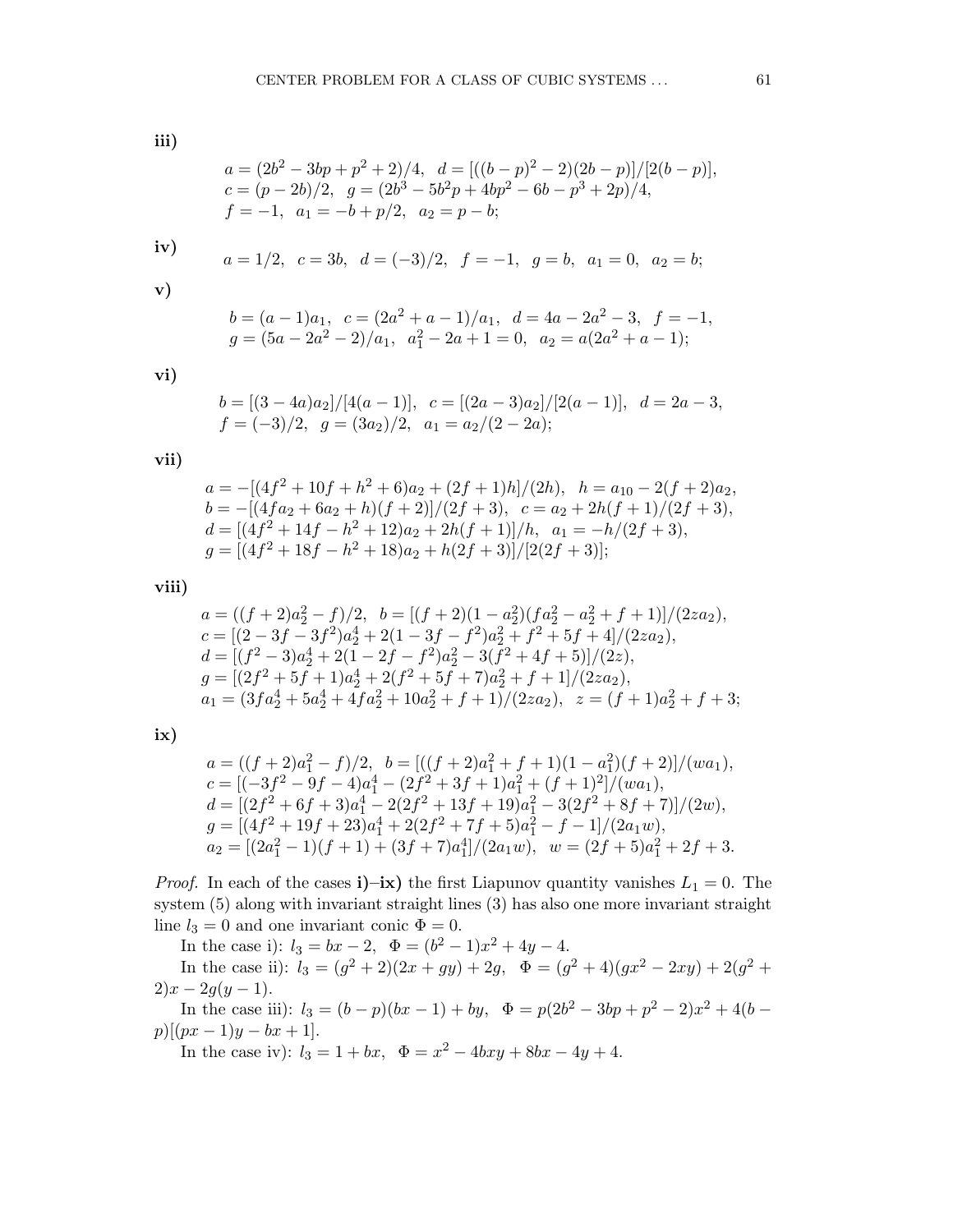iii)

$$
a = (2b2 - 3bp + p2 + 2)/4, d = [(b - p)2 - 2)(2b - p)]/[2(b - p)],
$$
  
\n
$$
c = (p - 2b)/2, g = (2b3 - 5b2p + 4bp2 - 6b - p3 + 2p)/4,
$$
  
\n
$$
f = -1, a1 = -b + p/2, a2 = p - b;
$$

iv) 
$$
a = 1/2, c = 3b, d = (-3)/2, f = -1, g = b, a_1 = 0, a_2 = b;
$$

$$
\mathbf{v})
$$

$$
b = (a - 1)a_1, c = (2a^2 + a - 1)/a_1, d = 4a - 2a^2 - 3, f = -1,
$$
  
\n
$$
g = (5a - 2a^2 - 2)/a_1, a_1^2 - 2a + 1 = 0, a_2 = a(2a^2 + a - 1);
$$

vi)

$$
b = [(3-4a)a_2]/[4(a-1)], c = [(2a-3)a_2]/[2(a-1)], d = 2a-3,
$$
  

$$
f = (-3)/2, g = (3a_2)/2, a_1 = a_2/(2-2a);
$$

## vii)

$$
a = -[(4f2 + 10f + h2 + 6)a2 + (2f + 1)h]/(2h), h = a10 - 2(f + 2)a2,b = -[(4fa2 + 6a2 + h)(f + 2)]/(2f + 3), c = a2 + 2h(f + 1)/(2f + 3),d = [(4f2 + 14f - h2 + 12)a2 + 2h(f + 1)]/h, a1 = -h/(2f + 3),g = [(4f2 + 18f - h2 + 18)a2 + h(2f + 3)]/[2(2f + 3)];
$$

## viii)

$$
a = ((f + 2)a_2^2 - f)/2, \quad b = [(f + 2)(1 - a_2^2)(fa_2^2 - a_2^2 + f + 1)]/(2za_2),
$$
  
\n
$$
c = [(2 - 3f - 3f^2)a_2^4 + 2(1 - 3f - f^2)a_2^2 + f^2 + 5f + 4]/(2za_2),
$$
  
\n
$$
d = [(f^2 - 3)a_2^4 + 2(1 - 2f - f^2)a_2^2 - 3(f^2 + 4f + 5)]/(2z),
$$
  
\n
$$
g = [(2f^2 + 5f + 1)a_2^4 + 2(f^2 + 5f + 7)a_2^2 + f + 1]/(2za_2),
$$
  
\n
$$
a_1 = (3fa_2^4 + 5a_2^4 + 4fa_2^2 + 10a_2^2 + f + 1)/(2za_2), \quad z = (f + 1)a_2^2 + f + 3;
$$

ix)

$$
a = ((f + 2)a_1^2 - f)/2, \quad b = [((f + 2)a_1^2 + f + 1)(1 - a_1^2)(f + 2)]/(wa_1),
$$
  
\n
$$
c = [(-3f^2 - 9f - 4)a_1^4 - (2f^2 + 3f + 1)a_1^2 + (f + 1)^2]/(wa_1),
$$
  
\n
$$
d = [(2f^2 + 6f + 3)a_1^4 - 2(2f^2 + 13f + 19)a_1^2 - 3(2f^2 + 8f + 7)]/(2w),
$$
  
\n
$$
g = [(4f^2 + 19f + 23)a_1^4 + 2(2f^2 + 7f + 5)a_1^2 - f - 1]/(2a_1w),
$$
  
\n
$$
a_2 = [(2a_1^2 - 1)(f + 1) + (3f + 7)a_1^4]/(2a_1w), \quad w = (2f + 5)a_1^2 + 2f + 3.
$$

*Proof.* In each of the cases **i**)–**ix**) the first Liapunov quantity vanishes  $L_1 = 0$ . The system (5) along with invariant straight lines (3) has also one more invariant straight line  $l_3 = 0$  and one invariant conic  $\Phi = 0$ .

In the case i):  $l_3 = bx - 2$ ,  $\Phi = (b^2 - 1)x^2 + 4y - 4$ . In the case ii):  $l_3 = (g^2 + 2)(2x + gy) + 2g$ ,  $\Phi = (g^2 + 4)(gx^2 - 2xy) + 2(g^2 + 4)$  $2)x - 2g(y-1).$ In the case iii):  $l_3 = (b - p)(bx - 1) + by$ ,  $\Phi = p(2b^2 - 3bp + p^2 - 2)x^2 + 4(b -$ 

 $p)[(px-1)y - bx + 1].$ 

In the case iv):  $l_3 = 1 + bx$ ,  $\Phi = x^2 - 4bxy + 8bx - 4y + 4$ .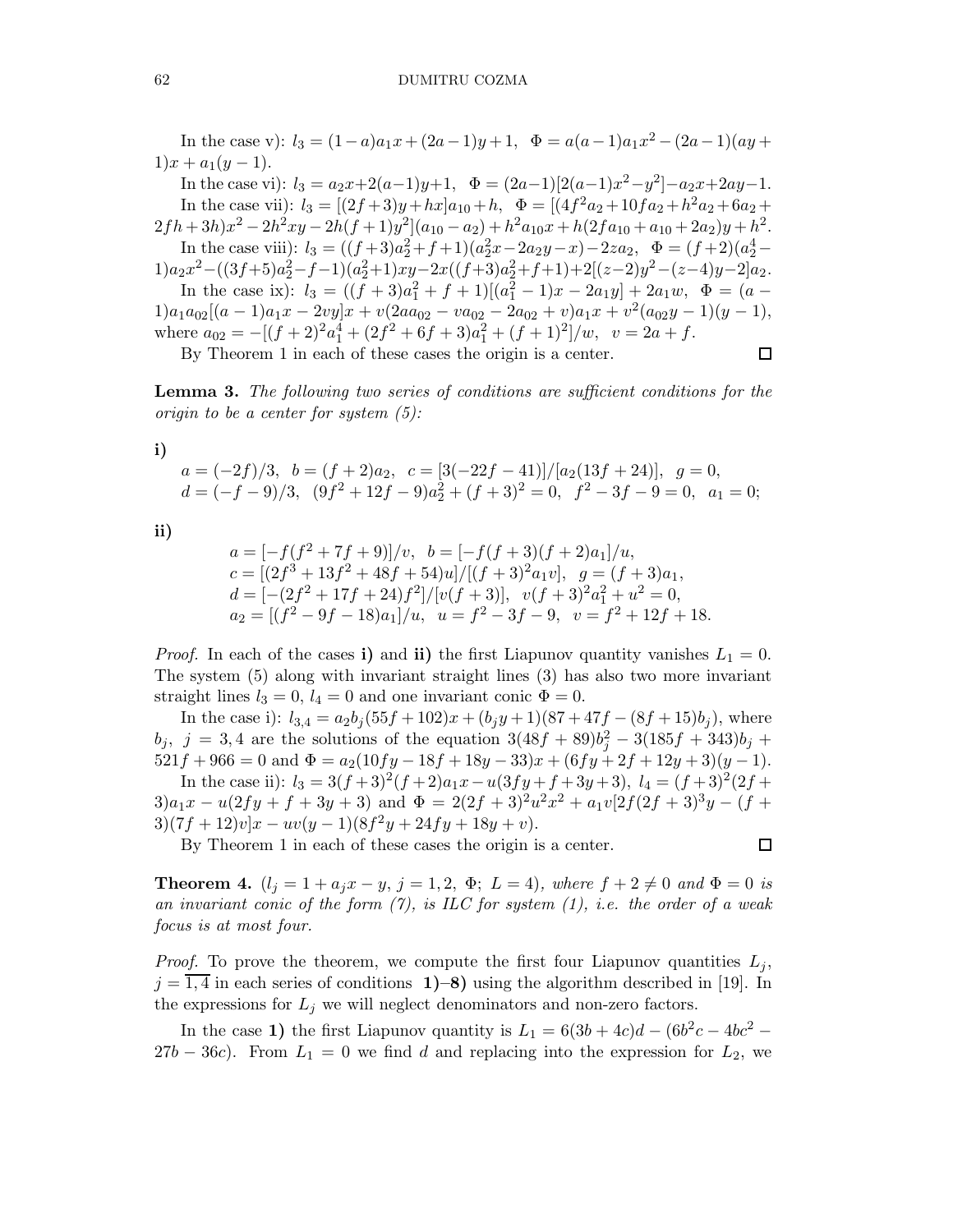In the case v):  $l_3 = (1-a)a_1x + (2a-1)y+1$ ,  $\Phi = a(a-1)a_1x^2 - (2a-1)(ay+1)$  $1)x + a_1(y-1).$ In the case vi):  $l_3 = a_2x+2(a-1)y+1$ ,  $\Phi = (2a-1)[2(a-1)x^2-y^2]-a_2x+2ay-1$ . In the case vii):  $l_3 = [(2f+3)y + hx]a_{10} + h$ ,  $\Phi = [(4f^2a_2 + 10fa_2 + h^2a_2 + 6a_2 + h^2a_2 + h^2a_2 + h^2a_2 + h^2a_2 + h^2a_2 + h^2a_2 + h^2a_2 + h^2a_2 + h^2a_2 + h^2a_2 + h^2a_2 + h^2a_2 + h^2a_2 + h^2a_2 + h^2a_2 + h^2a_2 + h^2a_2 + h^2a_2 + h^2a_2 + h^2a_2 + h^2a_2$  $2fh+3h)x^{2}-2h^{2}xy-2h(f+1)y^{2}](a_{10}-a_{2})+h^{2}a_{10}x+h(2fa_{10}+a_{10}+2a_{2})y+h^{2}.$ In the case viii):  $l_3 = ((f+3)a_2^2 + f+1)(a_2^2x-2a_2y-x)-2za_2, \ \ \Phi = (f+2)(a_2^4 1) a_2 x^2 - ((3f+5)a_2^2 - f-1)(a_2^2 + 1)xy - 2x((f+3)a_2^2 + f+1) + 2[(z-2)y^2 - (z-4)y-2]a_2.$ In the case ix):  $l_3 = ((f+3)a_1^2 + f+1)[(a_1^2 - 1)x - 2a_1y] + 2a_1w, \Phi = (a 1)a_1a_{02}[(a-1)a_1x-2vy]x+v(2aa_{02}-va_{02}-2a_{02}+v)a_1x+v^2(a_{02}y-1)(y-1),$ where  $a_{02} = -[(f+2)^2a_1^4 + (2f^2+6f+3)a_1^2 + (f+1)^2]/w$ ,  $v = 2a + f$ . By Theorem 1 in each of these cases the origin is a center.  $\Box$ 

Lemma 3. The following two series of conditions are sufficient conditions for the origin to be a center for system  $(5)$ :

i)  
\n
$$
a = (-2f)/3, \quad b = (f+2)a_2, \quad c = [3(-22f-41)]/[a_2(13f+24)], \quad g = 0,
$$
\n
$$
d = (-f-9)/3, \quad (9f^2+12f-9)a_2^2 + (f+3)^2 = 0, \quad f^2-3f-9 = 0, \quad a_1 = 0;
$$

ii)

$$
a = [-f(f^2 + 7f + 9)]/v, \quad b = [-f(f + 3)(f + 2)a_1]/u,
$$
  
\n
$$
c = [(2f^3 + 13f^2 + 48f + 54)u]/[(f + 3)^2 a_1 v], \quad g = (f + 3)a_1,
$$
  
\n
$$
d = [-(2f^2 + 17f + 24)f^2]/[v(f + 3)], \quad v(f + 3)^2 a_1^2 + u^2 = 0,
$$
  
\n
$$
a_2 = [(f^2 - 9f - 18)a_1]/u, \quad u = f^2 - 3f - 9, \quad v = f^2 + 12f + 18.
$$

*Proof.* In each of the cases i) and ii) the first Liapunov quantity vanishes  $L_1 = 0$ . The system (5) along with invariant straight lines (3) has also two more invariant straight lines  $l_3 = 0$ ,  $l_4 = 0$  and one invariant conic  $\Phi = 0$ .

In the case i):  $l_{3,4} = a_2b_j(55f+102)x + (b_jy+1)(87+47f-(8f+15)b_j)$ , where  $b_j, j = 3, 4$  are the solutions of the equation  $3(48f + 89)b_j^2 - 3(185f + 343)b_j +$  $521f + 966 = 0$  and  $\Phi = a_2(10fy - 18f + 18y - 33)x + (6fy + 2f + 12y + 3)(y - 1)$ .

In the case ii):  $l_3 = 3(f+3)^2(f+2)a_1x - u(3fy+f+3y+3), l_4 = (f+3)^2(2f+3)$  $3)a_1x - u(2fy + f + 3y + 3)$  and  $\Phi = 2(2f + 3)^2u^2x^2 + a_1v[2f(2f + 3)^3y - (f +$  $3(7f+12)v)x - uv(y-1)(8f^2y+24fy+18y+v).$ 

By Theorem 1 in each of these cases the origin is a center.

 $\Box$ 

**Theorem 4.**  $(l_j = 1 + a_j x - y, j = 1, 2, \Phi; L = 4)$ , where  $f + 2 \neq 0$  and  $\Phi = 0$  is an invariant conic of the form  $(7)$ , is ILC for system  $(1)$ , i.e. the order of a weak focus is at most four.

*Proof.* To prove the theorem, we compute the first four Liapunov quantities  $L_i$ ,  $j = \overline{1,4}$  in each series of conditions 1)–8) using the algorithm described in [19]. In the expressions for  $L_i$  we will neglect denominators and non-zero factors.

In the case 1) the first Liapunov quantity is  $L_1 = 6(3b + 4c)d - (6b^2c - 4bc^2 27b - 36c$ . From  $L_1 = 0$  we find d and replacing into the expression for  $L_2$ , we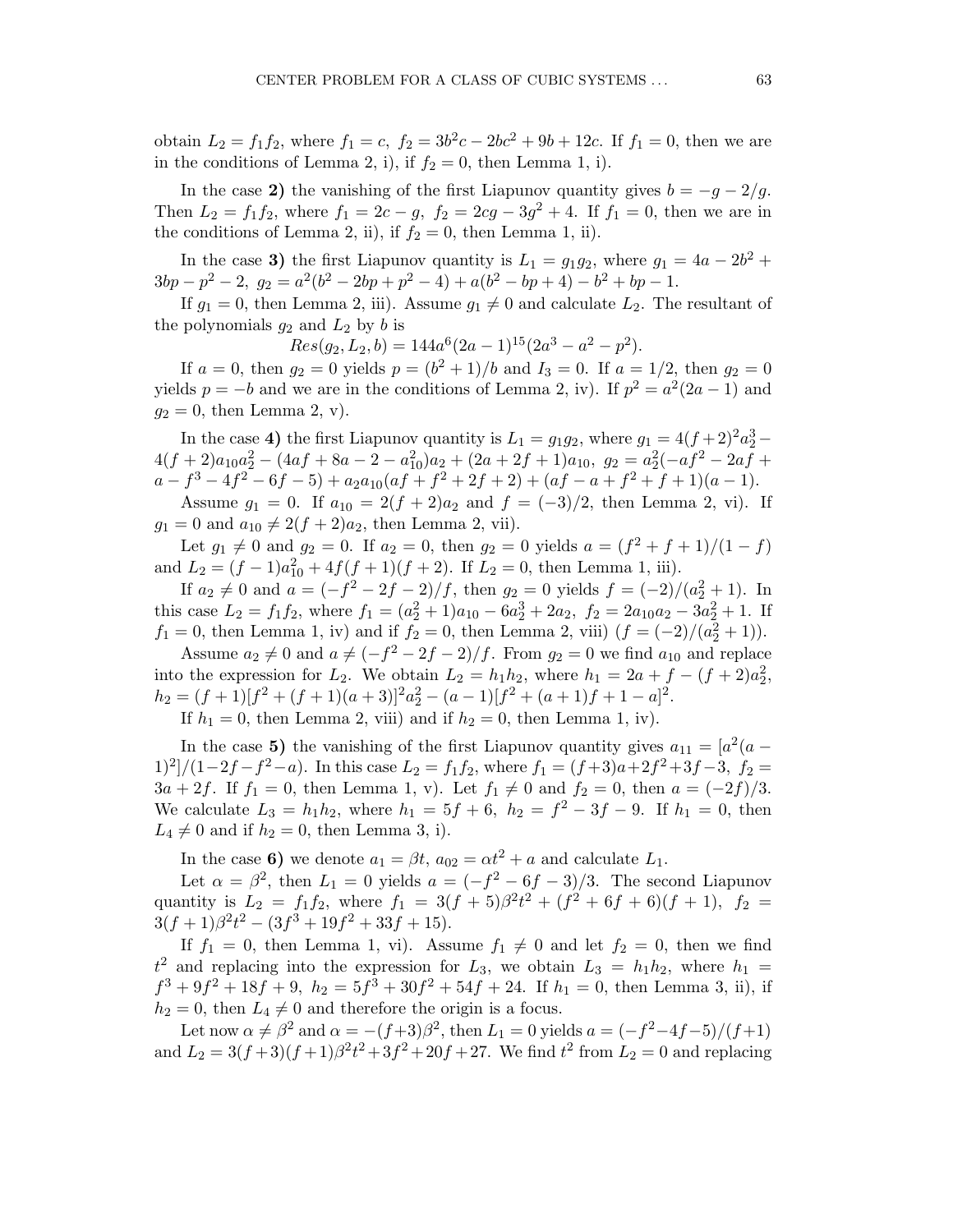obtain  $L_2 = f_1 f_2$ , where  $f_1 = c$ ,  $f_2 = 3b^2c - 2bc^2 + 9b + 12c$ . If  $f_1 = 0$ , then we are in the conditions of Lemma 2, i), if  $f_2 = 0$ , then Lemma 1, i).

In the case 2) the vanishing of the first Liapunov quantity gives  $b = -g - 2/g$ . Then  $L_2 = f_1 f_2$ , where  $f_1 = 2c - g$ ,  $f_2 = 2cg - 3g^2 + 4$ . If  $f_1 = 0$ , then we are in the conditions of Lemma 2, ii), if  $f_2 = 0$ , then Lemma 1, ii).

In the case 3) the first Liapunov quantity is  $L_1 = g_1g_2$ , where  $g_1 = 4a - 2b^2 +$  $3bp - p^2 - 2$ ,  $g_2 = a^2(b^2 - 2bp + p^2 - 4) + a(b^2 - bp + 4) - b^2 + bp - 1$ .

If  $g_1 = 0$ , then Lemma 2, iii). Assume  $g_1 \neq 0$  and calculate  $L_2$ . The resultant of the polynomials  $g_2$  and  $L_2$  by b is

 $Res(g_2, L_2, b) = 144a^6(2a - 1)^{15}(2a^3 - a^2 - p^2).$ 

If  $a = 0$ , then  $g_2 = 0$  yields  $p = (b^2 + 1)/b$  and  $I_3 = 0$ . If  $a = 1/2$ , then  $g_2 = 0$ yields  $p = -b$  and we are in the conditions of Lemma 2, iv). If  $p^2 = a^2(2a - 1)$  and  $g_2 = 0$ , then Lemma 2, v).

In the case 4) the first Liapunov quantity is  $L_1 = g_1 g_2$ , where  $g_1 = 4(f+2)^2 a_2^3$  $4(f+2)a_{10}a_2^2-(4af+8a-2-a_{10}^2)a_2+(2a+2f+1)a_{10},\; g_2=a_2^2(-af^2-2af+$  $a-f^3-4f^2-6f-5)+a_2a_{10}(af+f^2+2f+2)+(af-a+f^2+f+1)(a-1).$ 

Assume  $g_1 = 0$ . If  $a_{10} = 2(f+2)a_2$  and  $f = (-3)/2$ , then Lemma 2, vi). If  $g_1 = 0$  and  $a_{10} \neq 2(f + 2)a_2$ , then Lemma 2, vii).

Let  $g_1 \neq 0$  and  $g_2 = 0$ . If  $a_2 = 0$ , then  $g_2 = 0$  yields  $a = (f^2 + f + 1)/(1 - f)$ and  $L_2 = (f-1)a_{10}^2 + 4f(f+1)(f+2)$ . If  $L_2 = 0$ , then Lemma 1, iii).

If  $a_2 \neq 0$  and  $a = (-f^2 - 2f - 2)/f$ , then  $g_2 = 0$  yields  $f = (-2)/(a_2^2 + 1)$ . In this case  $L_2 = f_1 f_2$ , where  $f_1 = (a_2^2 + 1)a_{10} - 6a_2^3 + 2a_2$ ,  $f_2 = 2a_{10}a_2 - 3a_2^2 + 1$ . If  $f_1 = 0$ , then Lemma 1, iv) and if  $f_2 = 0$ , then Lemma 2, viii)  $(f = (-2)/(\tilde{a}_2^2 + 1))$ .

Assume  $a_2 \neq 0$  and  $a \neq (-f^2 - 2f - 2)/f$ . From  $g_2 = 0$  we find  $a_{10}$  and replace into the expression for  $L_2$ . We obtain  $L_2 = h_1 h_2$ , where  $h_1 = 2a + f - (f + 2)a_2^2$ ,  $h_2 = (f+1)[f^2 + (f+1)(a+3)]^2a_2^2 - (a-1)[f^2 + (a+1)f + 1 - a]^2.$ 

If  $h_1 = 0$ , then Lemma 2, viii) and if  $h_2 = 0$ , then Lemma 1, iv).

In the case 5) the vanishing of the first Liapunov quantity gives  $a_{11} = [a^2(a 1)^{2}$ / $(1-2f-f^{2}-a)$ . In this case  $L_{2} = f_{1}f_{2}$ , where  $f_{1} = (f+3)a+2f^{2}+3f-3$ ,  $f_{2} =$  $3a + 2f$ . If  $f_1 = 0$ , then Lemma 1, v). Let  $f_1 \neq 0$  and  $f_2 = 0$ , then  $a = (-2f)/3$ . We calculate  $L_3 = h_1 h_2$ , where  $h_1 = 5f + 6$ ,  $h_2 = f^2 - 3f - 9$ . If  $h_1 = 0$ , then  $L_4 \neq 0$  and if  $h_2 = 0$ , then Lemma 3, i).

In the case 6) we denote  $a_1 = \beta t$ ,  $a_{02} = \alpha t^2 + a$  and calculate  $L_1$ .

Let  $\alpha = \beta^2$ , then  $L_1 = 0$  yields  $a = (-f^2 - 6f - 3)/3$ . The second Liapunov quantity is  $L_2 = f_1 f_2$ , where  $f_1 = 3(f+5)\beta^2 t^2 + (f^2+6f+6)(f+1)$ ,  $f_2 =$  $3(f+1)\beta^2t^2 - (3f^3+19f^2+33f+15).$ 

If  $f_1 = 0$ , then Lemma 1, vi). Assume  $f_1 \neq 0$  and let  $f_2 = 0$ , then we find  $t^2$  and replacing into the expression for  $L_3$ , we obtain  $L_3 = h_1 h_2$ , where  $h_1 =$  $f^3 + 9f^2 + 18f + 9$ ,  $h_2 = 5f^3 + 30f^2 + 54f + 24$ . If  $h_1 = 0$ , then Lemma 3, ii), if  $h_2 = 0$ , then  $L_4 \neq 0$  and therefore the origin is a focus.

Let now  $\alpha \neq \beta^2$  and  $\alpha = -(f+3)\beta^2$ , then  $L_1 = 0$  yields  $a = (-f^2-4f-5)/(f+1)$ and  $L_2 = 3(f+3)(f+1)\beta^2t^2 + 3f^2 + 20f + 27$ . We find  $t^2$  from  $L_2 = 0$  and replacing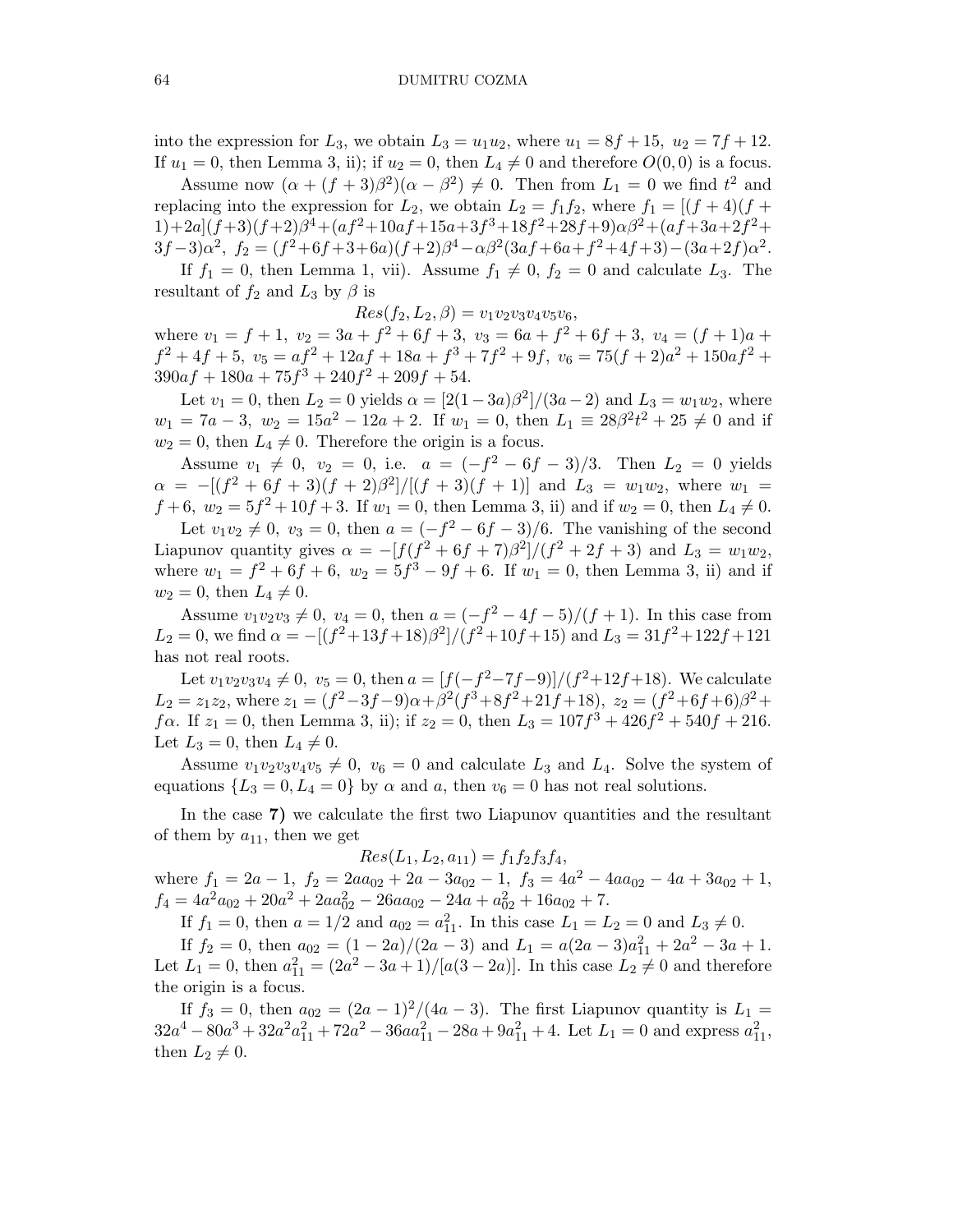into the expression for  $L_3$ , we obtain  $L_3 = u_1 u_2$ , where  $u_1 = 8f + 15$ ,  $u_2 = 7f + 12$ . If  $u_1 = 0$ , then Lemma 3, ii); if  $u_2 = 0$ , then  $L_4 \neq 0$  and therefore  $O(0, 0)$  is a focus.

Assume now  $(\alpha + (f+3)\beta^2)(\alpha - \beta^2) \neq 0$ . Then from  $L_1 = 0$  we find  $t^2$  and replacing into the expression for  $L_2$ , we obtain  $L_2 = f_1 f_2$ , where  $f_1 = [(f + 4)(f +$  $1)+2a[(f+3)(f+2)\beta^4 + (af^2+10af+15a+3f^3+18f^2+28f+9)\alpha\beta^2+(af+3a+2f^2+$  $3f-3)\alpha^2$ ,  $f_2 = (f^2+6f+3+6a)(f+2)\beta^4-\alpha\beta^2(3af+6a+f^2+4f+3)-(3a+2f)\alpha^2$ .

If  $f_1 = 0$ , then Lemma 1, vii). Assume  $f_1 \neq 0$ ,  $f_2 = 0$  and calculate  $L_3$ . The resultant of  $f_2$  and  $L_3$  by  $\beta$  is

 $Res(f_2, L_2, \beta) = v_1v_2v_3v_4v_5v_6,$ 

where  $v_1 = f + 1$ ,  $v_2 = 3a + f^2 + 6f + 3$ ,  $v_3 = 6a + f^2 + 6f + 3$ ,  $v_4 = (f + 1)a +$  $f^2 + 4f + 5$ ,  $v_5 = af^2 + 12af + 18a + f^3 + 7f^2 + 9f$ ,  $v_6 = 75(f+2)a^2 + 150af^2 +$  $390af + 180a + 75f^3 + 240f^2 + 209f + 54.$ 

Let  $v_1 = 0$ , then  $L_2 = 0$  yields  $\alpha = \frac{2(1 - 3a)\beta^2}{3a - 2}$  and  $L_3 = w_1w_2$ , where  $w_1 = 7a - 3$ ,  $w_2 = 15a^2 - 12a + 2$ . If  $w_1 = 0$ , then  $L_1 = 28\beta^2 t^2 + 25 \neq 0$  and if  $w_2 = 0$ , then  $L_4 \neq 0$ . Therefore the origin is a focus.

Assume  $v_1 \neq 0$ ,  $v_2 = 0$ , i.e.  $a = (-f^2 - 6f - 3)/3$ . Then  $L_2 = 0$  yields  $\alpha = -[(f^2 + 6f + 3)(f + 2)\beta^2]/[(f + 3)(f + 1)]$  and  $L_3 = w_1w_2$ , where  $w_1 =$  $f+6$ ,  $w_2 = 5f^2 + 10f + 3$ . If  $w_1 = 0$ , then Lemma 3, ii) and if  $w_2 = 0$ , then  $L_4 \neq 0$ .

Let  $v_1v_2 \neq 0$ ,  $v_3 = 0$ , then  $a = (-f^2 - 6f - 3)/6$ . The vanishing of the second Liapunov quantity gives  $\alpha = -[f(\hat{f}^2 + 6f + 7)\beta^2]/(f^2 + 2f + 3)$  and  $L_3 = w_1w_2$ , where  $w_1 = f^2 + 6f + 6$ ,  $w_2 = 5f^3 - 9f + 6$ . If  $w_1 = 0$ , then Lemma 3, ii) and if  $w_2 = 0$ , then  $L_4 \neq 0$ .

Assume  $v_1v_2v_3 \neq 0$ ,  $v_4 = 0$ , then  $a = (-f^2 - 4f - 5)/(f + 1)$ . In this case from  $L_2 = 0$ , we find  $\alpha = -[(f^2 + 13f + 18)\beta^2]/(f^2 + 10f + 15)$  and  $L_3 = 31f^2 + 122f + 121$ has not real roots.

Let  $v_1v_2v_3v_4 \neq 0$ ,  $v_5 = 0$ , then  $a = [f(-f^2 - 7f - 9)]/(f^2 + 12f + 18)$ . We calculate  $L_2 = z_1 z_2$ , where  $z_1 = (f^2 - 3f - 9)\alpha + \beta^2(f^3 + 8f^2 + 21f + 18), z_2 = (f^2 + 6f + 6)\beta^2 +$  $f\alpha$ . If  $z_1 = 0$ , then Lemma 3, ii); if  $z_2 = 0$ , then  $L_3 = 107f^3 + 426f^2 + 540f + 216$ . Let  $L_3 = 0$ , then  $L_4 \neq 0$ .

Assume  $v_1v_2v_3v_4v_5 \neq 0$ ,  $v_6 = 0$  and calculate  $L_3$  and  $L_4$ . Solve the system of equations  $\{L_3 = 0, L_4 = 0\}$  by  $\alpha$  and  $\alpha$ , then  $v_6 = 0$  has not real solutions.

In the case 7) we calculate the first two Liapunov quantities and the resultant of them by  $a_{11}$ , then we get

$$
Res(L_1, L_2, a_{11}) = f_1 f_2 f_3 f_4,
$$

where  $f_1 = 2a - 1$ ,  $f_2 = 2aa_{02} + 2a - 3a_{02} - 1$ ,  $f_3 = 4a^2 - 4aa_{02} - 4a + 3a_{02} + 1$ ,  $f_4 = 4a^2a_{02} + 20a^2 + 2aa_{02}^2 - 26aa_{02} - 24a + a_{02}^2 + 16a_{02} + 7.$ 

If  $f_1 = 0$ , then  $a = 1/2$  and  $a_{02} = a_{11}^2$ . In this case  $L_1 = L_2 = 0$  and  $L_3 \neq 0$ .

If  $f_2 = 0$ , then  $a_{02} = (1 - 2a)/(2a - 3)$  and  $L_1 = a(2a - 3)a_{11}^2 + 2a^2 - 3a + 1$ . Let  $L_1 = 0$ , then  $a_{11}^2 = (2a^2 - 3a + 1)/[a(3 - 2a)]$ . In this case  $L_2 \neq 0$  and therefore the origin is a focus.

If  $f_3 = 0$ , then  $a_{02} = (2a - 1)^2/(4a - 3)$ . The first Liapunov quantity is  $L_1 =$  $32a^4 - 80a^3 + 32a^2a_{11}^2 + 72a^2 - 36aa_{11}^2 - 28a + 9a_{11}^2 + 4$ . Let  $L_1 = 0$  and express  $a_{11}^2$ , then  $L_2 \neq 0$ .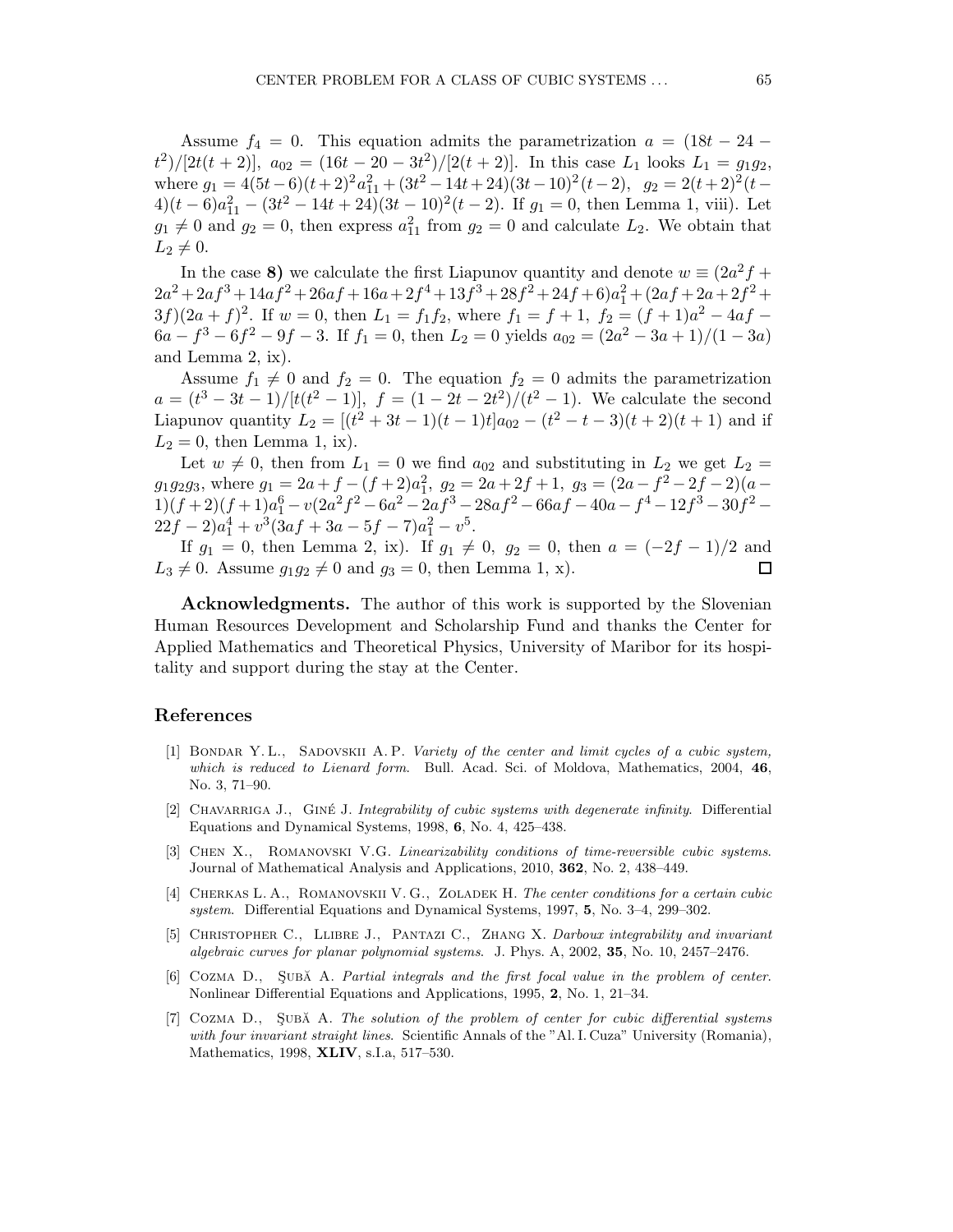Assume  $f_4 = 0$ . This equation admits the parametrization  $a = (18t - 24 - 1)$  $\frac{t^2}{|2t(t+2)|}$ ,  $a_{02} = \frac{16t - 20 - 3t^2}{|2(t+2)|}$ . In this case  $L_1$  looks  $L_1 = g_1g_2$ , where  $g_1 = 4(5t-6)(t+2)^2a_{11}^2 + (3t^2-14t+24)(3t-10)^2(t-2), g_2 = 2(t+2)^2(t-1)$  $4)(t-6)a_{11}^2 - (3t^2 - 14t + 24)(3t - 10)^2(t-2)$ . If  $g_1 = 0$ , then Lemma 1, viii). Let  $g_1 \neq 0$  and  $g_2 = 0$ , then express  $a_{11}^2$  from  $g_2 = 0$  and calculate  $L_2$ . We obtain that  $L_2 \neq 0$ .

In the case 8) we calculate the first Liapunov quantity and denote  $w \equiv (2a^2 f +$  $2a^2 + 2af^3 + 14af^2 + 26af + 16a + 2f^4 + 13f^3 + 28f^2 + 24f + 6)a_1^2 + (2af + 2a + 2f^2 +$  $3f(2a+f)^2$ . If  $w=0$ , then  $L_1 = f_1f_2$ , where  $f_1 = f+1$ ,  $f_2 = (f+1)a^2 - 4af$  $6a - f^3 - 6f^2 - 9f - 3$ . If  $f_1 = 0$ , then  $L_2 = 0$  yields  $a_{02} = (2a^2 - 3a + 1)/(1 - 3a)$ and Lemma 2, ix).

Assume  $f_1 \neq 0$  and  $f_2 = 0$ . The equation  $f_2 = 0$  admits the parametrization  $a = (t^3 - 3t - 1)/[t(t^2 - 1)], f = (1 - 2t - 2t^2)/(t^2 - 1).$  We calculate the second Liapunov quantity  $L_2 = [(t^2 + 3t - 1)(t - 1)t]a_{02} - (t^2 - t - 3)(t + 2)(t + 1)$  and if  $L_2 = 0$ , then Lemma 1, ix).

Let  $w \neq 0$ , then from  $L_1 = 0$  we find  $a_{02}$  and substituting in  $L_2$  we get  $L_2 =$  $g_1g_2g_3$ , where  $g_1 = 2a + f - (f+2)a_1^2$ ,  $g_2 = 2a + 2f + 1$ ,  $g_3 = (2a - f^2 - 2f - 2)(a 1)(f+2)(f+1)a_1^6 - v(2a^2f^2 - 6a^2 - 2af^3 - 28af^2 - 66af - 40a - f^4 - 12f^3 - 30f^2 22f-2)a_1^4+v^3(3af+3a-5f-7)a_1^2-v^5.$ 

If  $g_1 = 0$ , then Lemma 2, ix). If  $g_1 \neq 0$ ,  $g_2 = 0$ , then  $a = (-2f - 1)/2$  and  $L_3 \neq 0$ . Assume  $g_1g_2 \neq 0$  and  $g_3 = 0$ , then Lemma 1, x).  $\Box$ 

Acknowledgments. The author of this work is supported by the Slovenian Human Resources Development and Scholarship Fund and thanks the Center for Applied Mathematics and Theoretical Physics, University of Maribor for its hospitality and support during the stay at the Center.

#### References

- [1] BONDAR Y.L., SADOVSKII A.P. Variety of the center and limit cycles of a cubic system, which is reduced to Lienard form. Bull. Acad. Sci. of Moldova, Mathematics, 2004, 46, No. 3, 71–90.
- [2] CHAVARRIGA J., GINÉ J. Integrability of cubic systems with degenerate infinity. Differential Equations and Dynamical Systems, 1998, 6, No. 4, 425–438.
- [3] CHEN X., ROMANOVSKI V.G. Linearizability conditions of time-reversible cubic systems. Journal of Mathematical Analysis and Applications, 2010, 362, No. 2, 438–449.
- [4] CHERKAS L. A., ROMANOVSKII V. G., ZOLADEK H. The center conditions for a certain cubic system. Differential Equations and Dynamical Systems, 1997, 5, No. 3–4, 299–302.
- [5] Christopher C., Llibre J., Pantazi C., Zhang X. Darboux integrability and invariant algebraic curves for planar polynomial systems. J. Phys. A, 2002, 35, No. 10, 2457–2476.
- [6] COZMA D., SUBA A. Partial integrals and the first focal value in the problem of center. Nonlinear Differential Equations and Applications, 1995, 2, No. 1, 21–34.
- [7] COZMA D., SUBA A. The solution of the problem of center for cubic differential systems with four invariant straight lines. Scientific Annals of the "Al. I. Cuza" University (Romania), Mathematics, 1998, XLIV, s.I.a, 517–530.